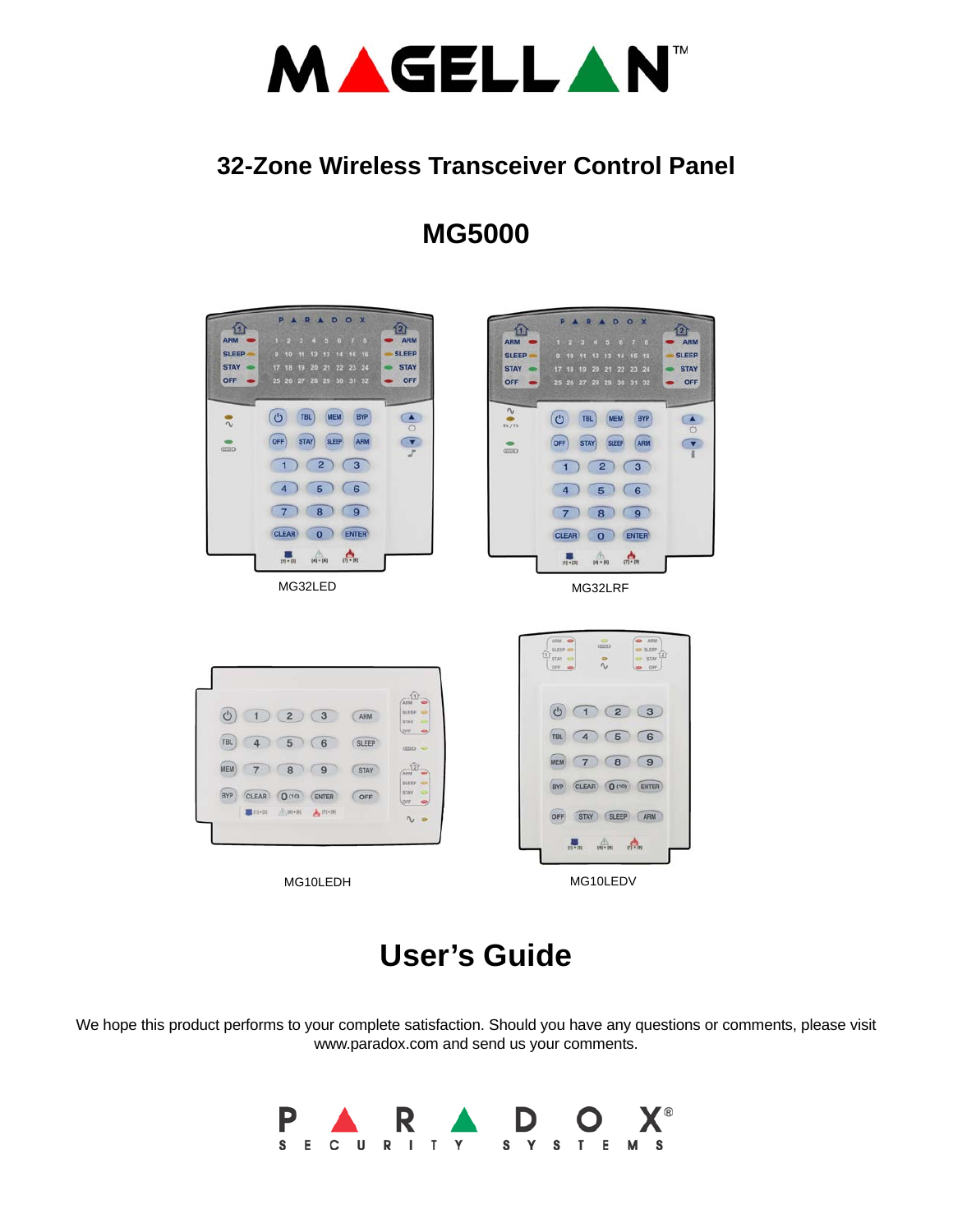

# **32-Zone Wireless Transceiver Control Panel**

# **MG5000**



# **User's Guide**

We hope this product performs to your complete satisfaction. Should you have any questions or comments, please visit www.paradox.com and send us your comments.

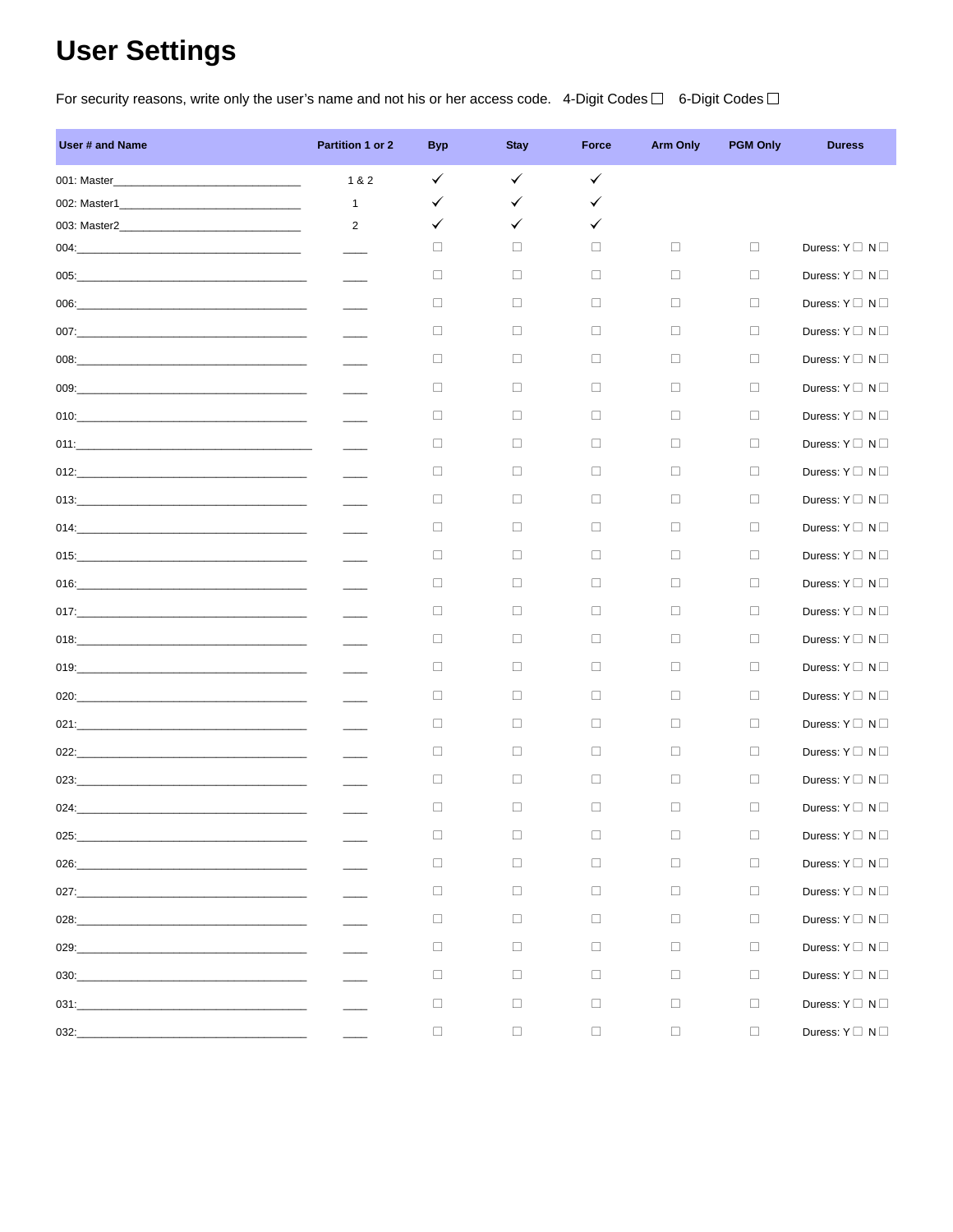# **User Settings**

For security reasons, write only the user's name and not his or her access code. 4-Digit Codes  $\Box$  6-Digit Codes  $\Box$ 

| User # and Name                                                                                                                | Partition 1 or 2 | <b>Byp</b> | <b>Stay</b>  | Force  | <b>Arm Only</b> | <b>PGM Only</b> | <b>Duress</b>                 |
|--------------------------------------------------------------------------------------------------------------------------------|------------------|------------|--------------|--------|-----------------|-----------------|-------------------------------|
| 001: Master_                                                                                                                   | 1 & 2            | ✓          | $\checkmark$ | ✓      |                 |                 |                               |
| 002: Master1_<br><u> 1989 - Johann John Stone, mars et al. (</u>                                                               | $\mathbf{1}$     | ✓          | ✓            | ✓      |                 |                 |                               |
| 003: Master2                                                                                                                   | $\overline{2}$   | ✓          | ✓            | ✓      |                 |                 |                               |
|                                                                                                                                |                  | $\Box$     | $\Box$       | □      | $\Box$          | $\Box$          | Duress: $Y \square N \square$ |
|                                                                                                                                |                  | $\Box$     | п            | $\Box$ | $\Box$          | $\Box$          | Duress: $Y \square N \square$ |
|                                                                                                                                |                  | ⊔          | $\Box$       | □      | $\Box$          | П               | Duress: $Y \cap N \cap$       |
|                                                                                                                                |                  | □          | п            | $\Box$ | $\Box$          | $\Box$          | Duress: $Y \cap N \cap$       |
|                                                                                                                                |                  | □          | п            | $\Box$ | $\Box$          | $\Box$          | Duress: $Y \square N \square$ |
|                                                                                                                                |                  | □          | п            | $\Box$ | $\Box$          | $\Box$          | Duress: $Y \square N \square$ |
|                                                                                                                                |                  | □          | п            | $\Box$ | $\Box$          | $\Box$          | Duress: $Y \square N \square$ |
|                                                                                                                                |                  | □          | п            | $\Box$ | $\Box$          | $\Box$          | Duress: $Y \cap N \cap$       |
| 012:                                                                                                                           |                  | ⊔          | п            | $\Box$ | $\Box$          | П               | Duress: $Y \cap N \cap$       |
|                                                                                                                                |                  | □          | п            | $\Box$ | $\Box$          | $\Box$          | Duress: $Y \cap N \cap$       |
|                                                                                                                                |                  | □          | п            | $\Box$ | $\Box$          | П               | Duress: $Y \square N \square$ |
|                                                                                                                                |                  | $\Box$     | п            | $\Box$ | $\Box$          | $\Box$          | Duress: $Y \square N \square$ |
|                                                                                                                                |                  | □          | п            | $\Box$ | П.              | $\Box$          | Duress: $Y \square N \square$ |
|                                                                                                                                |                  | □          | п            | $\Box$ | $\Box$          | $\Box$          | Duress: $Y \square N \square$ |
|                                                                                                                                |                  | $\Box$     | п            | $\Box$ | $\Box$          | П               | Duress: $Y \square N \square$ |
|                                                                                                                                |                  | □          | п            | $\Box$ | $\Box$          | $\Box$          | Duress: $Y \square N \square$ |
|                                                                                                                                |                  | □          | п            | $\Box$ | $\Box$          | П               | Duress: $Y \square N \square$ |
|                                                                                                                                |                  | $\Box$     | $\Box$       | $\Box$ | $\Box$          | $\Box$          | Duress: $Y \square N \square$ |
|                                                                                                                                |                  | □          | п            | $\Box$ | $\Box$          | $\Box$          | Duress: $Y \square N \square$ |
|                                                                                                                                |                  | □          | □            | $\Box$ | $\Box$          | $\Box$          | Duress: $Y \square N \square$ |
|                                                                                                                                |                  | ⊔          | □            | $\Box$ | $\Box$          | $\Box$          | Duress: $Y \square N \square$ |
| 025:<br><u> 1989 - Johann Harry Harry Harry Harry Harry Harry Harry Harry Harry Harry Harry Harry Harry Harry Harry Harry</u>  |                  | □          | $\Box$       | $\Box$ | $\Box$          | $\Box$          | Duress: $Y \square N \square$ |
| 026:                                                                                                                           |                  | $\Box$     | $\Box$       | $\Box$ | $\Box$          | $\Box$          | Duress: $Y \square N \square$ |
|                                                                                                                                |                  | $\Box$     | $\Box$       | $\Box$ | $\Box$          | $\Box$          | Duress: $Y \square N \square$ |
| 028:                                                                                                                           |                  | $\Box$     | $\Box$       | $\Box$ | $\Box$          | $\Box$          | Duress: $Y \square N \square$ |
| 029:<br><u> 1989 - Johann John Stone, mars et al. 1989 - John Stone, mars et al. 1989 - John Stone, mars et al. 1989 - Joh</u> |                  | □          | □            | □      | $\Box$          | $\Box$          | Duress: $Y \square N \square$ |
| 030:<br><u> 1989 - Johann Harry Harry Harry Harry Harry Harry Harry Harry Harry Harry Harry Harry Harry Harry Harry Harry</u>  |                  | $\Box$     | $\Box$       | $\Box$ | $\Box$          | $\Box$          | Duress: $Y \square N \square$ |
|                                                                                                                                |                  | □          | □            | □      | $\Box$          | $\Box$          | Duress: $Y \square N \square$ |
| 032:                                                                                                                           |                  | $\Box$     | $\Box$       | $\Box$ | $\Box$          | $\Box$          | Duress: $Y \square N \square$ |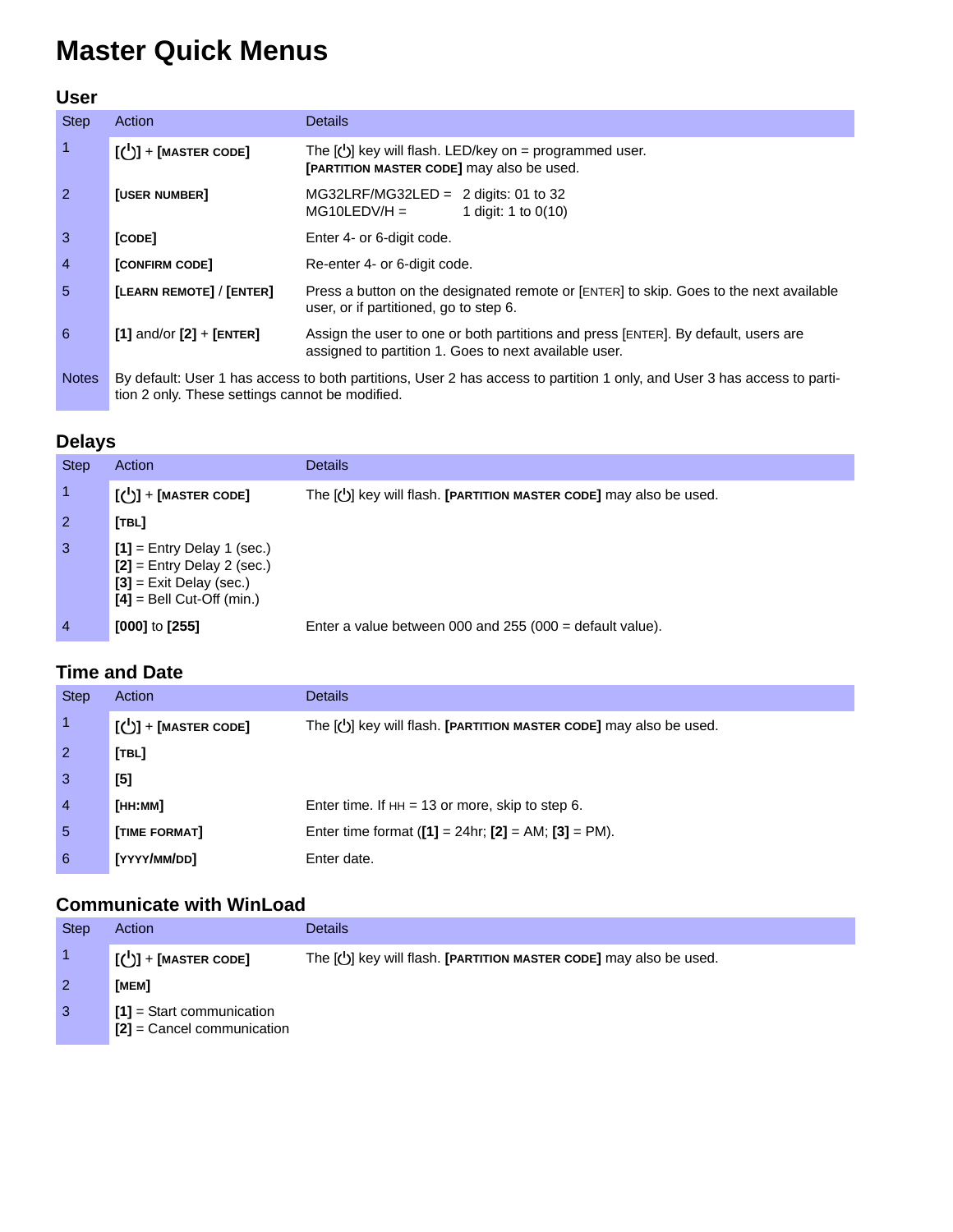# **Master Quick Menus**

## **User**

| <b>Step</b>    | Action                                                                                                                                                                      | <b>Details</b>                                                                                                                              |  |  |  |  |
|----------------|-----------------------------------------------------------------------------------------------------------------------------------------------------------------------------|---------------------------------------------------------------------------------------------------------------------------------------------|--|--|--|--|
| $\overline{1}$ | $\left[\begin{smallmatrix} 1 \\ 0 \end{smallmatrix}\right]$ + [MASTER CODE]                                                                                                 | The $[\bigcup]$ key will flash. LED/key on = programmed user.<br>[PARTITION MASTER CODE] may also be used.                                  |  |  |  |  |
| $\overline{2}$ | <b>[USER NUMBER]</b>                                                                                                                                                        | $MG32LRF/MG32LED = 2$ digits: 01 to 32<br>$MG10LEDV/H =$<br>1 digit: 1 to $0(10)$                                                           |  |  |  |  |
| $\overline{3}$ | [CODE]                                                                                                                                                                      | Enter 4- or 6-digit code.                                                                                                                   |  |  |  |  |
| $\overline{4}$ | <b>[CONFIRM CODE]</b>                                                                                                                                                       | Re-enter 4- or 6-digit code.                                                                                                                |  |  |  |  |
| -5             | [LEARN REMOTE] / [ENTER]                                                                                                                                                    | Press a button on the designated remote or [ENTER] to skip. Goes to the next available<br>user, or if partitioned, go to step 6.            |  |  |  |  |
| 6              | $[1]$ and/or $[2]$ + $[ENTER]$                                                                                                                                              | Assign the user to one or both partitions and press [ENTER]. By default, users are<br>assigned to partition 1. Goes to next available user. |  |  |  |  |
| <b>Notes</b>   | By default: User 1 has access to both partitions, User 2 has access to partition 1 only, and User 3 has access to parti-<br>tion 2 only. These settings cannot be modified. |                                                                                                                                             |  |  |  |  |

## **Delays**

| <b>Step</b>    | Action                                                                                                                   | <b>Details</b>                                                            |
|----------------|--------------------------------------------------------------------------------------------------------------------------|---------------------------------------------------------------------------|
|                | $\left[\begin{matrix} 1 \\ 0 \end{matrix}\right]$ + [MASTER CODE]                                                        | The $[\bigcup]$ key will flash. [PARTITION MASTER CODE] may also be used. |
| $\overline{2}$ | [TBL]                                                                                                                    |                                                                           |
| $\mathbf{3}$   | $[1]$ = Entry Delay 1 (sec.)<br>$[2]$ = Entry Delay 2 (sec.)<br>$[3]$ = Exit Delay (sec.)<br>$[4]$ = Bell Cut-Off (min.) |                                                                           |
| $\overline{4}$ | $[000]$ to $[255]$                                                                                                       | Enter a value between 000 and 255 (000 $=$ default value).                |

# **Time and Date**

| <b>Step</b>    | Action                                                                      | <b>Details</b>                                                            |
|----------------|-----------------------------------------------------------------------------|---------------------------------------------------------------------------|
|                | $\left[\begin{smallmatrix} 1 \\ 0 \end{smallmatrix}\right]$ + [MASTER CODE] | The $[\bigcup]$ key will flash. [PARTITION MASTER CODE] may also be used. |
| $\overline{2}$ | [TBL]                                                                       |                                                                           |
| $\overline{3}$ | $[5]$                                                                       |                                                                           |
| $\overline{4}$ | Гнн:мм1                                                                     | Enter time. If $HH = 13$ or more, skip to step 6.                         |
| 5              | [TIME FORMAT]                                                               | Enter time format $([1] = 24$ hr; $[2] = AM$ ; $[3] = PM$ ).              |
| 6              | [YYYY/MM/DD]                                                                | Enter date.                                                               |

# **Communicate with WinLoad**

| <b>Step</b>  | Action                                                      | Details                                                                   |
|--------------|-------------------------------------------------------------|---------------------------------------------------------------------------|
|              | $\lfloor$ ( $\bigcup$ ) + [MASTER CODE]                     | The $[\bigcup]$ key will flash. [PARTITION MASTER CODE] may also be used. |
|              | [MEM]                                                       |                                                                           |
| $\mathbf{3}$ | $[1]$ = Start communication<br>$[2]$ = Cancel communication |                                                                           |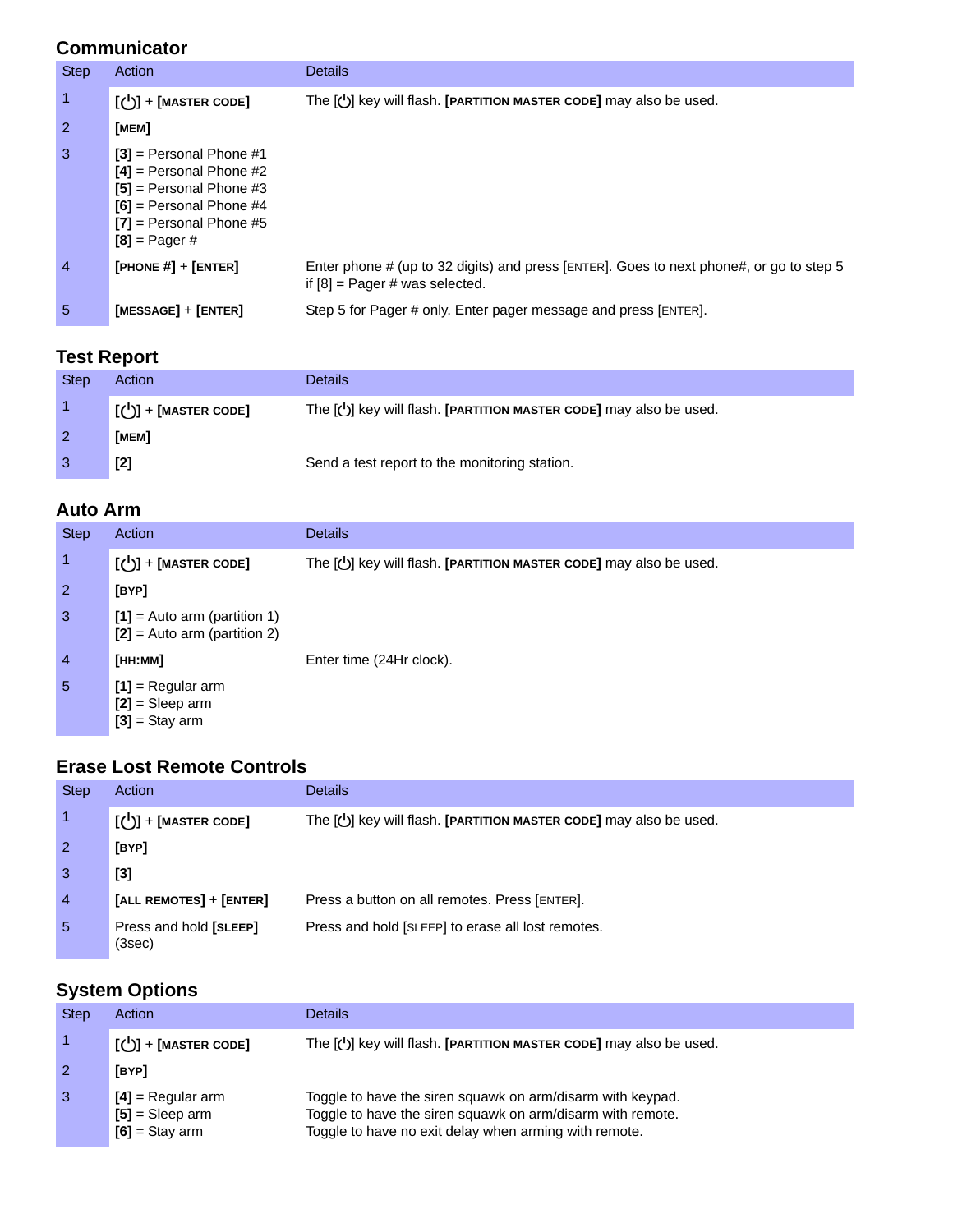## **Communicator**

| <b>Step</b> | Action                                                                                                                                                           | <b>Details</b>                                                                                                              |
|-------------|------------------------------------------------------------------------------------------------------------------------------------------------------------------|-----------------------------------------------------------------------------------------------------------------------------|
| 1           | $\left[\bigcup\right]$ + [MASTER CODE]                                                                                                                           | The $[\bigcup]$ key will flash. [PARTITION MASTER CODE] may also be used.                                                   |
| 2           | [мем]                                                                                                                                                            |                                                                                                                             |
| 3           | $[3]$ = Personal Phone #1<br>$[4]$ = Personal Phone #2<br>$[5]$ = Personal Phone #3<br>$[6]$ = Personal Phone #4<br>$[7]$ = Personal Phone #5<br>$[8]$ = Pager # |                                                                                                                             |
| 4           | [PHONE $#$ ] + [ENTER]                                                                                                                                           | Enter phone # (up to 32 digits) and press [ENTER]. Goes to next phone#, or go to step 5<br>if $[8]$ = Pager # was selected. |
| 5           | $[MESSAGE] + [ENTER]$                                                                                                                                            | Step 5 for Pager # only. Enter pager message and press [ENTER].                                                             |

# **Test Report**

| <b>Step</b> | Action                                   | <b>Details</b>                                                    |
|-------------|------------------------------------------|-------------------------------------------------------------------|
|             | $\lfloor$ ( $\rfloor$ )] + [MASTER CODE] | The [U] key will flash. [PARTITION MASTER CODE] may also be used. |
|             | [MEM]                                    |                                                                   |
|             | $[2]$                                    | Send a test report to the monitoring station.                     |

# **Auto Arm**

| <b>Step</b>    | Action                                                            | <b>Details</b>                                                            |
|----------------|-------------------------------------------------------------------|---------------------------------------------------------------------------|
| 1              | $\left[\begin{matrix} 1 \\ 0 \end{matrix}\right]$ + [MASTER CODE] | The $[\bigcup]$ key will flash. [PARTITION MASTER CODE] may also be used. |
| $\overline{2}$ | [BYP]                                                             |                                                                           |
| $\mathbf{3}$   | $[1]$ = Auto arm (partition 1)<br>$[2]$ = Auto arm (partition 2)  |                                                                           |
| $\overline{4}$ | Гнн:мм1                                                           | Enter time (24Hr clock).                                                  |
| 5              | $[1]$ = Regular arm<br>$[2]$ = Sleep arm<br>$[3]$ = Stay arm      |                                                                           |

## **Erase Lost Remote Controls**

| <b>Step</b>    | Action                                                            | <b>Details</b>                                                            |
|----------------|-------------------------------------------------------------------|---------------------------------------------------------------------------|
|                | $\left[\begin{matrix} 1 \\ 0 \end{matrix}\right]$ + [MASTER CODE] | The $[\bigcup]$ key will flash. [PARTITION MASTER CODE] may also be used. |
| $\overline{2}$ | [BYP]                                                             |                                                                           |
| -3             | $[3]$                                                             |                                                                           |
| $\overline{4}$ | $[ALL$ REMOTES $]+$ $[ENTER]$                                     | Press a button on all remotes. Press [ENTER].                             |
| 5              | Press and hold [SLEEP]<br>(3sec)                                  | Press and hold [SLEEP] to erase all lost remotes.                         |

# **System Options**

| <b>Step</b>    | Action                                                                               | Details                                                                                                                                                                           |
|----------------|--------------------------------------------------------------------------------------|-----------------------------------------------------------------------------------------------------------------------------------------------------------------------------------|
|                | $\begin{bmatrix} \begin{pmatrix} 1 \\ 2 \end{pmatrix} \end{bmatrix}$ + [MASTER CODE] | The $[\bigcup]$ key will flash. [PARTITION MASTER CODE] may also be used.                                                                                                         |
| $\overline{2}$ | [BYP]                                                                                |                                                                                                                                                                                   |
| -3             | $[4]$ = Regular arm<br>$[5]$ = Sleep arm<br>$[6]$ = Stay arm                         | Toggle to have the siren squawk on arm/disarm with keypad.<br>Toggle to have the siren squawk on arm/disarm with remote.<br>Toggle to have no exit delay when arming with remote. |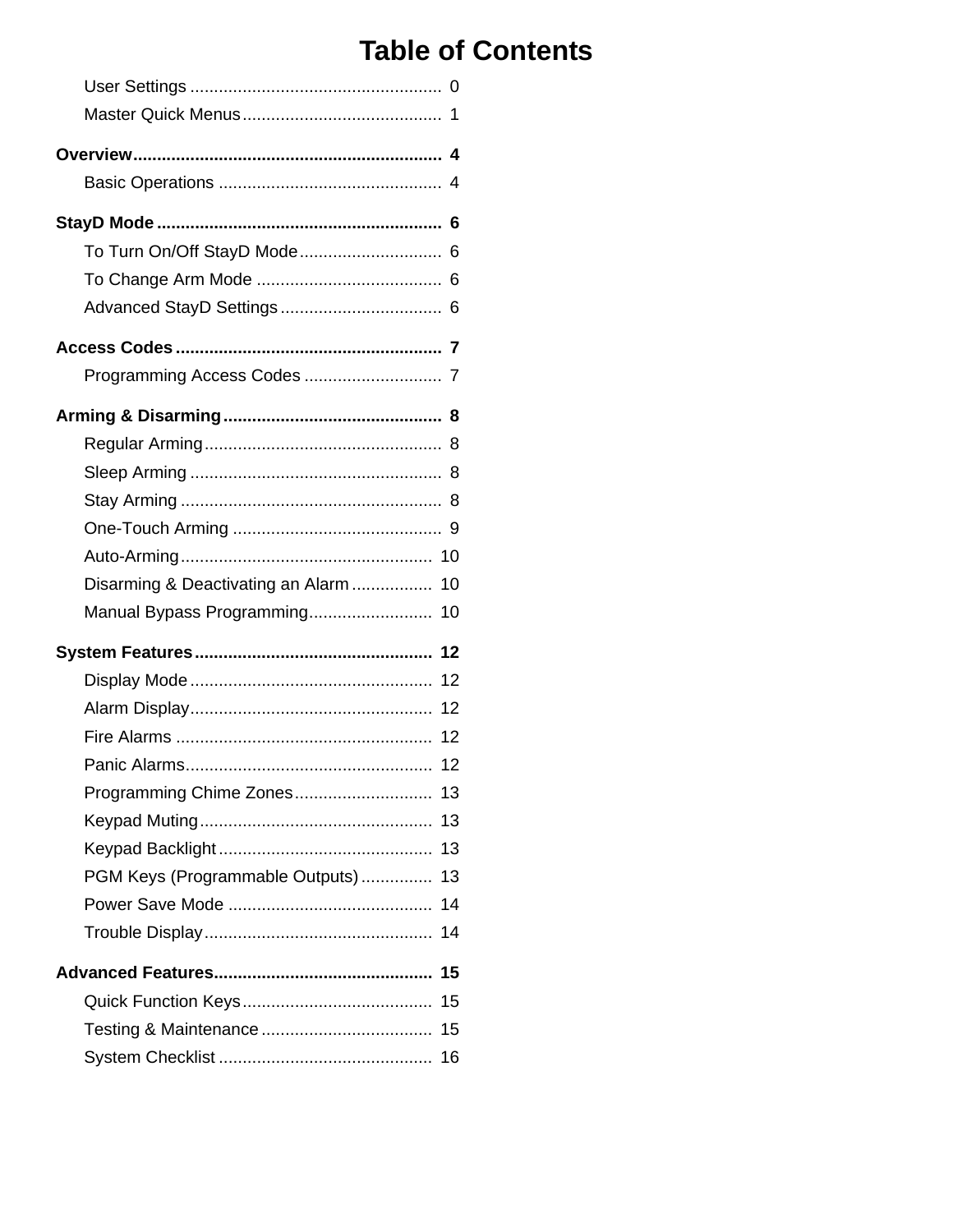# **Table of Contents**

| To Turn On/Off StayD Mode 6           |    |
|---------------------------------------|----|
|                                       |    |
|                                       |    |
|                                       |    |
|                                       |    |
|                                       |    |
|                                       |    |
|                                       |    |
|                                       |    |
|                                       |    |
|                                       |    |
| Disarming & Deactivating an Alarm  10 |    |
| Manual Bypass Programming 10          |    |
|                                       |    |
|                                       |    |
|                                       |    |
|                                       |    |
|                                       |    |
|                                       |    |
|                                       | 13 |
|                                       | 13 |
| PGM Keys (Programmable Outputs)       | 13 |
|                                       | 14 |
|                                       | 14 |
|                                       | 15 |
|                                       | 15 |
|                                       |    |
|                                       |    |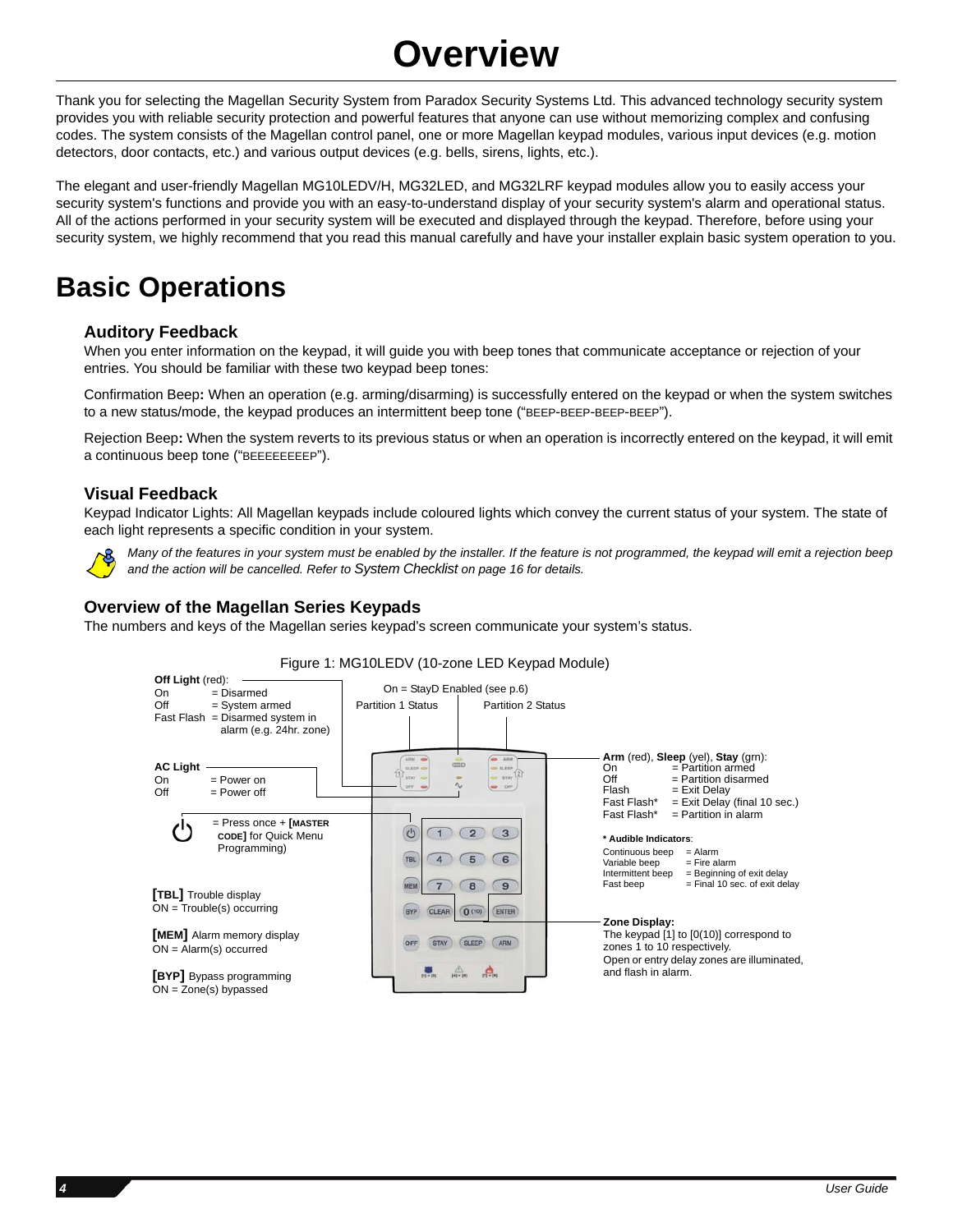# **Overview**

Thank you for selecting the Magellan Security System from Paradox Security Systems Ltd. This advanced technology security system provides you with reliable security protection and powerful features that anyone can use without memorizing complex and confusing codes. The system consists of the Magellan control panel, one or more Magellan keypad modules, various input devices (e.g. motion detectors, door contacts, etc.) and various output devices (e.g. bells, sirens, lights, etc.).

The elegant and user-friendly Magellan MG10LEDV/H, MG32LED, and MG32LRF keypad modules allow you to easily access your security system's functions and provide you with an easy-to-understand display of your security system's alarm and operational status. All of the actions performed in your security system will be executed and displayed through the keypad. Therefore, before using your security system, we highly recommend that you read this manual carefully and have your installer explain basic system operation to you.

# **Basic Operations**

## **Auditory Feedback**

When you enter information on the keypad, it will guide you with beep tones that communicate acceptance or rejection of your entries. You should be familiar with these two keypad beep tones:

Confirmation Beep**:** When an operation (e.g. arming/disarming) is successfully entered on the keypad or when the system switches to a new status/mode, the keypad produces an intermittent beep tone ("BEEP-BEEP-BEEP-BEEP").

Rejection Beep**:** When the system reverts to its previous status or when an operation is incorrectly entered on the keypad, it will emit a continuous beep tone ("BEEEEEEEEP").

## **Visual Feedback**

Keypad Indicator Lights: All Magellan keypads include coloured lights which convey the current status of your system. The state of each light represents a specific condition in your system.



*Many of the features in your system must be enabled by the installer. If the feature is not programmed, the keypad will emit a rejection beep and the action will be cancelled. Refer to [System Checklist on page 16](#page-17-0) for details.*

## **Overview of the Magellan Series Keypads**

The numbers and keys of the Magellan series keypad's screen communicate your system's status.



### Figure 1: MG10LEDV (10-zone LED Keypad Module)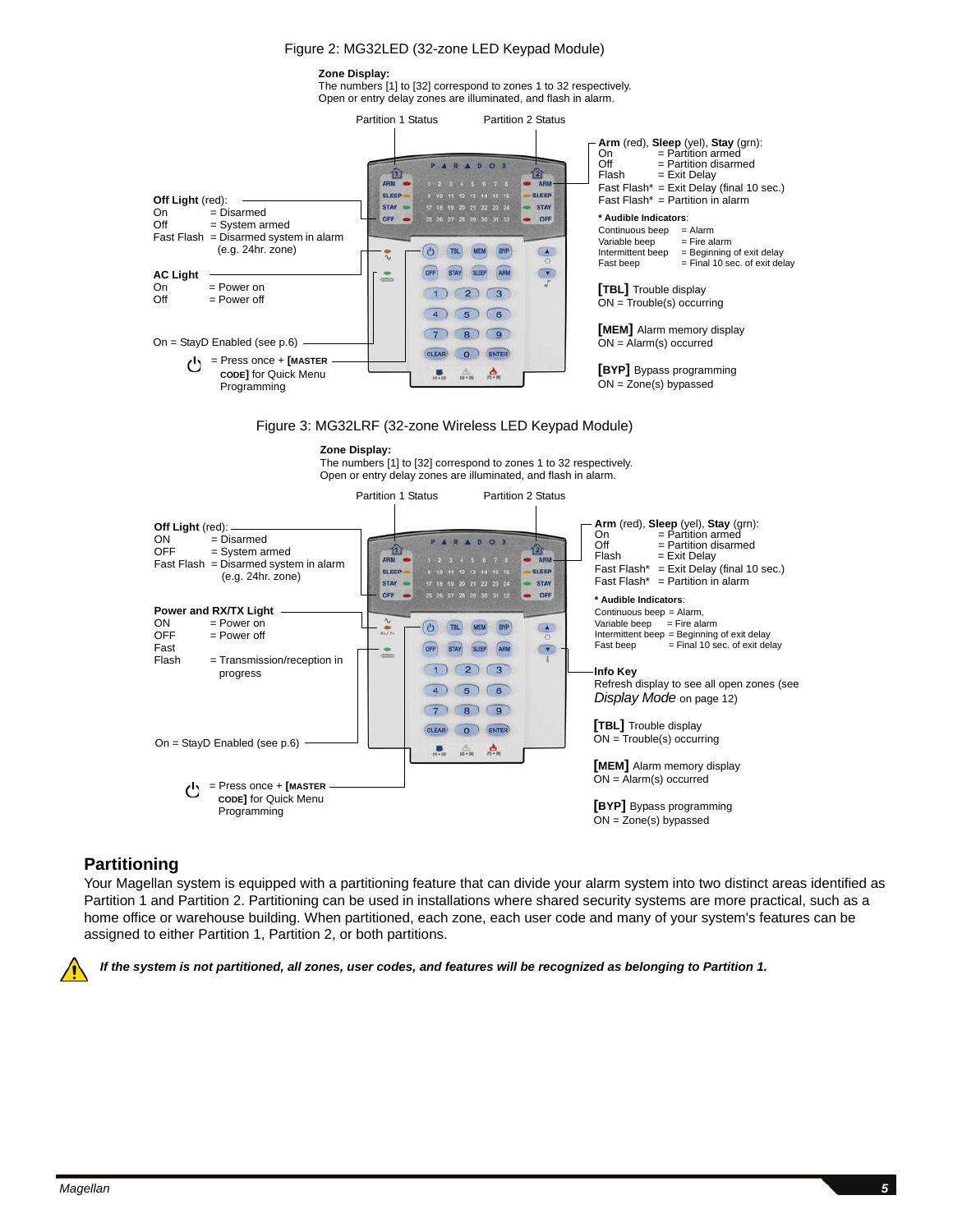#### Figure 2: MG32LED (32-zone LED Keypad Module)

#### **Zone Display:**

The numbers [1] to [32] correspond to zones 1 to 32 respectively. Open or entry delay zones are illuminated, and flash in alarm.



Figure 3: MG32LRF (32-zone Wireless LED Keypad Module)



The numbers [1] to [32] correspond to zones 1 to 32 respectively. Open or entry delay zones are illuminated, and flash in alarm.



### <span id="page-6-0"></span>**Partitioning**

Your Magellan system is equipped with a partitioning feature that can divide your alarm system into two distinct areas identified as Partition 1 and Partition 2. Partitioning can be used in installations where shared security systems are more practical, such as a home office or warehouse building. When partitioned, each zone, each user code and many of your system's features can be assigned to either Partition 1, Partition 2, or both partitions.



*If the system is not partitioned, all zones, user codes, and features will be recognized as belonging to Partition 1.*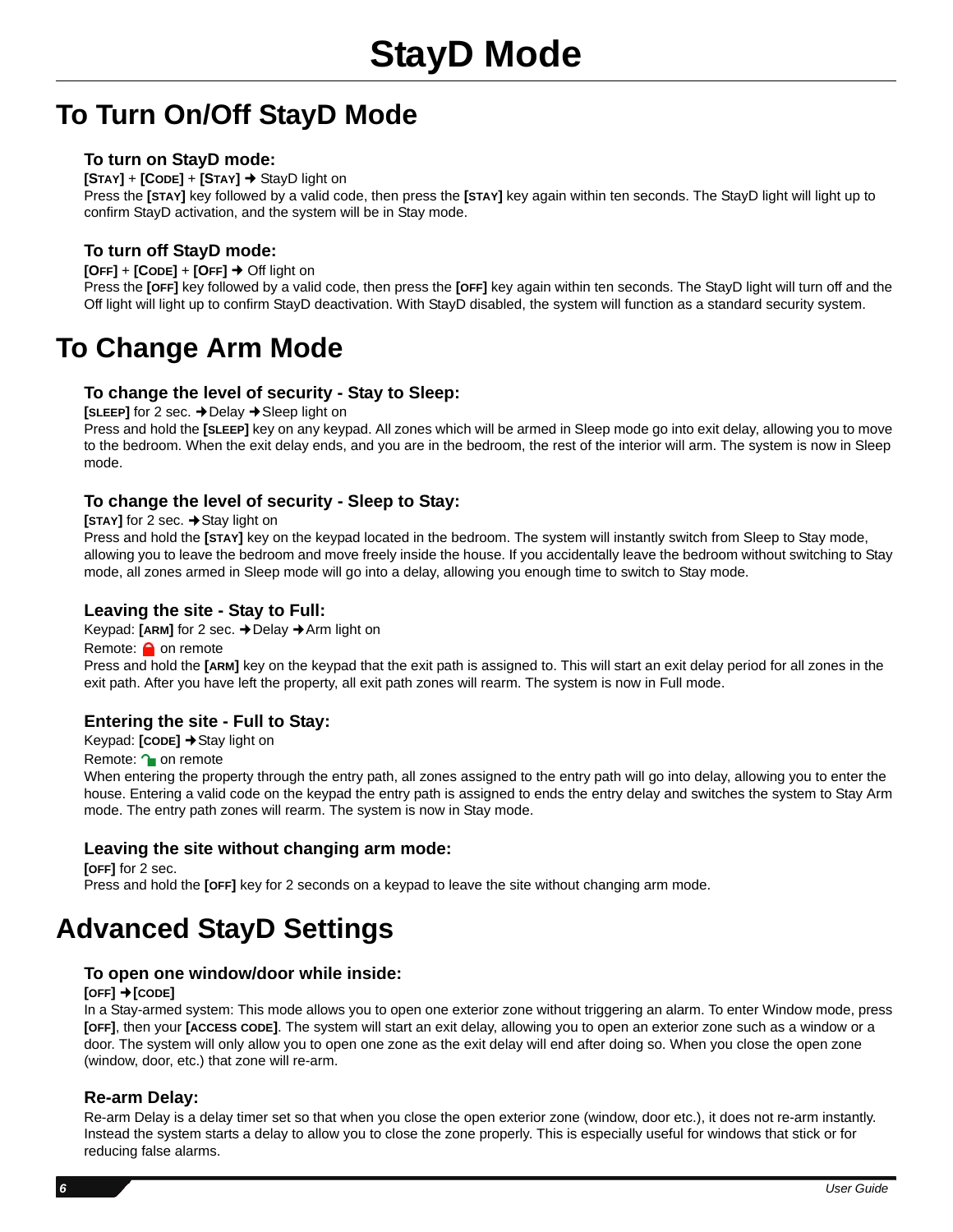# **To Turn On/Off StayD Mode**

## **To turn on StayD mode:**

**[STAY]** + **[CODE]** + **[STAY]**  StayD light on

Press the **[STAY]** key followed by a valid code, then press the **[STAY]** key again within ten seconds. The StayD light will light up to confirm StayD activation, and the system will be in Stay mode.

## **To turn off StayD mode:**

**[OFF]** + **[CODE]** + **[OFF]** Off light on

Press the **[OFF]** key followed by a valid code, then press the **[OFF]** key again within ten seconds. The StayD light will turn off and the Off light will light up to confirm StayD deactivation. With StayD disabled, the system will function as a standard security system.

# **To Change Arm Mode**

### **To change the level of security - Stay to Sleep:**

**[SLEEP]** for 2 sec.  $\rightarrow$  Delay  $\rightarrow$  Sleep light on

Press and hold the **[SLEEP]** key on any keypad. All zones which will be armed in Sleep mode go into exit delay, allowing you to move to the bedroom. When the exit delay ends, and you are in the bedroom, the rest of the interior will arm. The system is now in Sleep mode.

## **To change the level of security - Sleep to Stay:**

### **[STAY]** for 2 sec.  $\rightarrow$  Stay light on

Press and hold the **[STAY]** key on the keypad located in the bedroom. The system will instantly switch from Sleep to Stay mode, allowing you to leave the bedroom and move freely inside the house. If you accidentally leave the bedroom without switching to Stay mode, all zones armed in Sleep mode will go into a delay, allowing you enough time to switch to Stay mode.

## **Leaving the site - Stay to Full:**

Keypad: [ARM] for 2 sec. → Delay → Arm light on

Remote: **O** on remote

Press and hold the **[ARM]** key on the keypad that the exit path is assigned to. This will start an exit delay period for all zones in the exit path. After you have left the property, all exit path zones will rearm. The system is now in Full mode.

### **Entering the site - Full to Stay:**

Keypad: **[CODE]** Stay light on

Remote: **1** on remote

When entering the property through the entry path, all zones assigned to the entry path will go into delay, allowing you to enter the house. Entering a valid code on the keypad the entry path is assigned to ends the entry delay and switches the system to Stay Arm mode. The entry path zones will rearm. The system is now in Stay mode.

### **Leaving the site without changing arm mode:**

**[OFF]** for 2 sec. Press and hold the **[OFF]** key for 2 seconds on a keypad to leave the site without changing arm mode.

# **Advanced StayD Settings**

### **To open one window/door while inside:**

### **[OFF] [CODE]**

In a Stay-armed system: This mode allows you to open one exterior zone without triggering an alarm. To enter Window mode, press **[OFF]**, then your **[ACCESS CODE]**. The system will start an exit delay, allowing you to open an exterior zone such as a window or a door. The system will only allow you to open one zone as the exit delay will end after doing so. When you close the open zone (window, door, etc.) that zone will re-arm.

### **Re-arm Delay:**

Re-arm Delay is a delay timer set so that when you close the open exterior zone (window, door etc.), it does not re-arm instantly. Instead the system starts a delay to allow you to close the zone properly. This is especially useful for windows that stick or for reducing false alarms.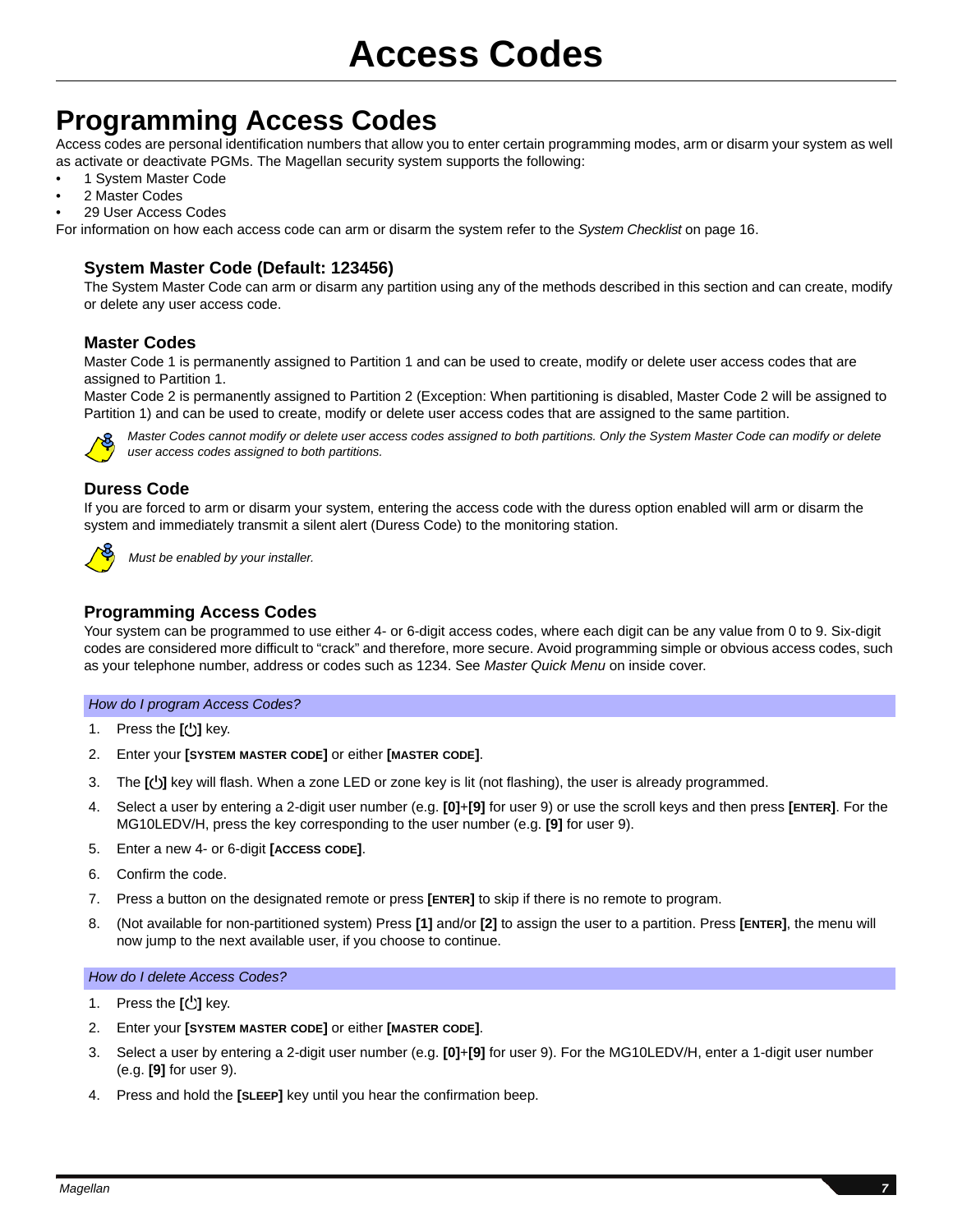# **Programming Access Codes**

Access codes are personal identification numbers that allow you to enter certain programming modes, arm or disarm your system as well as activate or deactivate PGMs. The Magellan security system supports the following:

- 1 System Master Code
- 2 Master Codes
- 29 User Access Codes

For information on how each access code can arm or disarm the system refer to the *[System Checklist](#page-17-0)* on page 16.

## **System Master Code (Default: 123456)**

The System Master Code can arm or disarm any partition using any of the methods described in this section and can create, modify or delete any user access code.

## **Master Codes**

Master Code 1 is permanently assigned to Partition 1 and can be used to create, modify or delete user access codes that are assigned to Partition 1.

Master Code 2 is permanently assigned to Partition 2 (Exception: When partitioning is disabled, Master Code 2 will be assigned to Partition 1) and can be used to create, modify or delete user access codes that are assigned to the same partition.



*Master Codes cannot modify or delete user access codes assigned to both partitions. Only the System Master Code can modify or delete user access codes assigned to both partitions.* 

## **Duress Code**

If you are forced to arm or disarm your system, entering the access code with the duress option enabled will arm or disarm the system and immediately transmit a silent alert (Duress Code) to the monitoring station.



*Must be enabled by your installer.*

### **Programming Access Codes**

Your system can be programmed to use either 4- or 6-digit access codes, where each digit can be any value from 0 to 9. Six-digit codes are considered more difficult to "crack" and therefore, more secure. Avoid programming simple or obvious access codes, such as your telephone number, address or codes such as 1234. See *Master Quick Menu* on inside cover.

#### *How do I program Access Codes?*

- 1. Press the [**b**] key.
- 2. Enter your **[SYSTEM MASTER CODE]** or either **[MASTER CODE]**.
- 3. The **[]** key will flash. When a zone LED or zone key is lit (not flashing), the user is already programmed.
- 4. Select a user by entering a 2-digit user number (e.g. **[0]**+**[9]** for user 9) or use the scroll keys and then press **[ENTER]**. For the MG10LEDV/H, press the key corresponding to the user number (e.g. **[9]** for user 9).
- 5. Enter a new 4- or 6-digit **[ACCESS CODE]**.
- 6. Confirm the code.
- 7. Press a button on the designated remote or press **[ENTER]** to skip if there is no remote to program.
- 8. (Not available for non-partitioned system) Press **[1]** and/or **[2]** to assign the user to a partition. Press **[ENTER]**, the menu will now jump to the next available user, if you choose to continue.

### *How do I delete Access Codes?*

- 1. Press the **[ <sup>[ ]</sup>]** key.
- 2. Enter your **[SYSTEM MASTER CODE]** or either **[MASTER CODE]**.
- 3. Select a user by entering a 2-digit user number (e.g. **[0]**+**[9]** for user 9). For the MG10LEDV/H, enter a 1-digit user number (e.g. **[9]** for user 9).
- 4. Press and hold the **[SLEEP]** key until you hear the confirmation beep.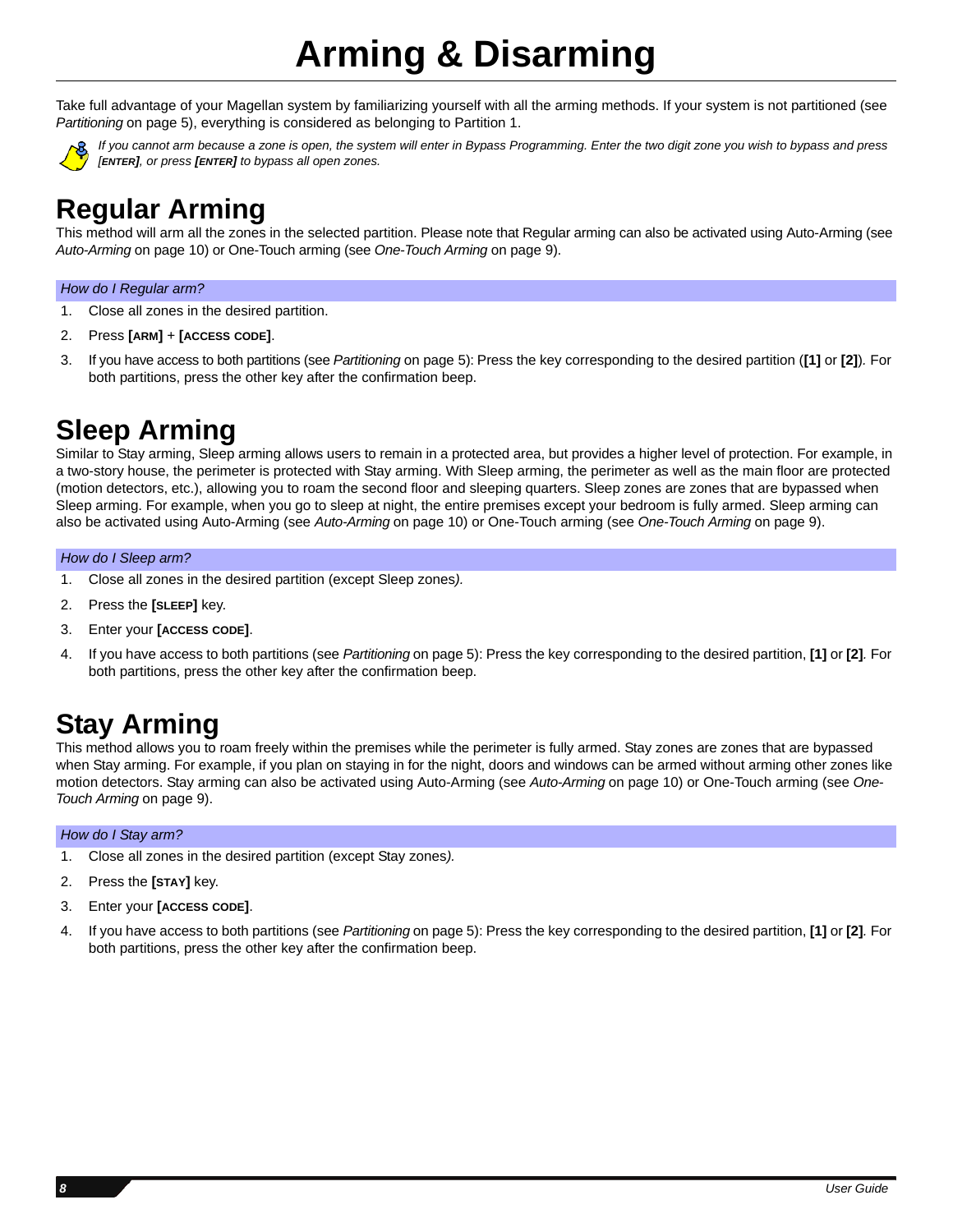# **Arming & Disarming**

Take full advantage of your Magellan system by familiarizing yourself with all the arming methods. If your system is not partitioned (see *[Partitioning](#page-6-0)* on page 5), everything is considered as belonging to Partition 1.



*If you cannot arm because a zone is open, the system will enter in Bypass Programming. Enter the two digit zone you wish to bypass and press [ENTER], or press [ENTER] to bypass all open zones.* 

# <span id="page-9-0"></span>**Regular Arming**

This method will arm all the zones in the selected partition. Please note that Regular arming can also be activated using Auto-Arming (see *[Auto-Arming](#page-11-0)* on page 10) or One-Touch arming (see *[One-Touch Arming](#page-10-0)* on page 9).

### *How do I Regular arm?*

- 1. Close all zones in the desired partition.
- 2. Press **[ARM]** + **[ACCESS CODE]**.
- 3. If you have access to both partitions (see *[Partitioning](#page-6-0)* on page 5): Press the key corresponding to the desired partition (**[1]** or **[2]**)*.* For both partitions, press the other key after the confirmation beep.

# <span id="page-9-2"></span>**Sleep Arming**

Similar to Stay arming, Sleep arming allows users to remain in a protected area, but provides a higher level of protection. For example, in a two-story house, the perimeter is protected with Stay arming. With Sleep arming, the perimeter as well as the main floor are protected (motion detectors, etc.), allowing you to roam the second floor and sleeping quarters. Sleep zones are zones that are bypassed when Sleep arming. For example, when you go to sleep at night, the entire premises except your bedroom is fully armed. Sleep arming can also be activated using Auto-Arming (see *[Auto-Arming](#page-11-0)* on page 10) or One-Touch arming (see *[One-Touch Arming](#page-10-0)* on page 9).

### *How do I Sleep arm?*

- 1. Close all zones in the desired partition (except Sleep zones*).*
- 2. Press the **[SLEEP]** key.
- 3. Enter your **[ACCESS CODE]**.
- 4. If you have access to both partitions (see *[Partitioning](#page-6-0)* on page 5): Press the key corresponding to the desired partition, **[1]** or **[2]***.* For both partitions, press the other key after the confirmation beep.

# <span id="page-9-1"></span>**Stay Arming**

This method allows you to roam freely within the premises while the perimeter is fully armed. Stay zones are zones that are bypassed when Stay arming. For example, if you plan on staying in for the night, doors and windows can be armed without arming other zones like motion detectors. Stay arming can also be activated using Auto-Arming (see *[Auto-Arming](#page-11-0)* on page 10) or One-Touch arming (see *[One-](#page-10-0)[Touch Arming](#page-10-0)* on page 9).

### *How do I Stay arm?*

- 1. Close all zones in the desired partition (except Stay zones*).*
- 2. Press the **[STAY]** key.
- 3. Enter your **[ACCESS CODE]**.
- 4. If you have access to both partitions (see *[Partitioning](#page-6-0)* on page 5): Press the key corresponding to the desired partition, **[1]** or **[2]***.* For both partitions, press the other key after the confirmation beep.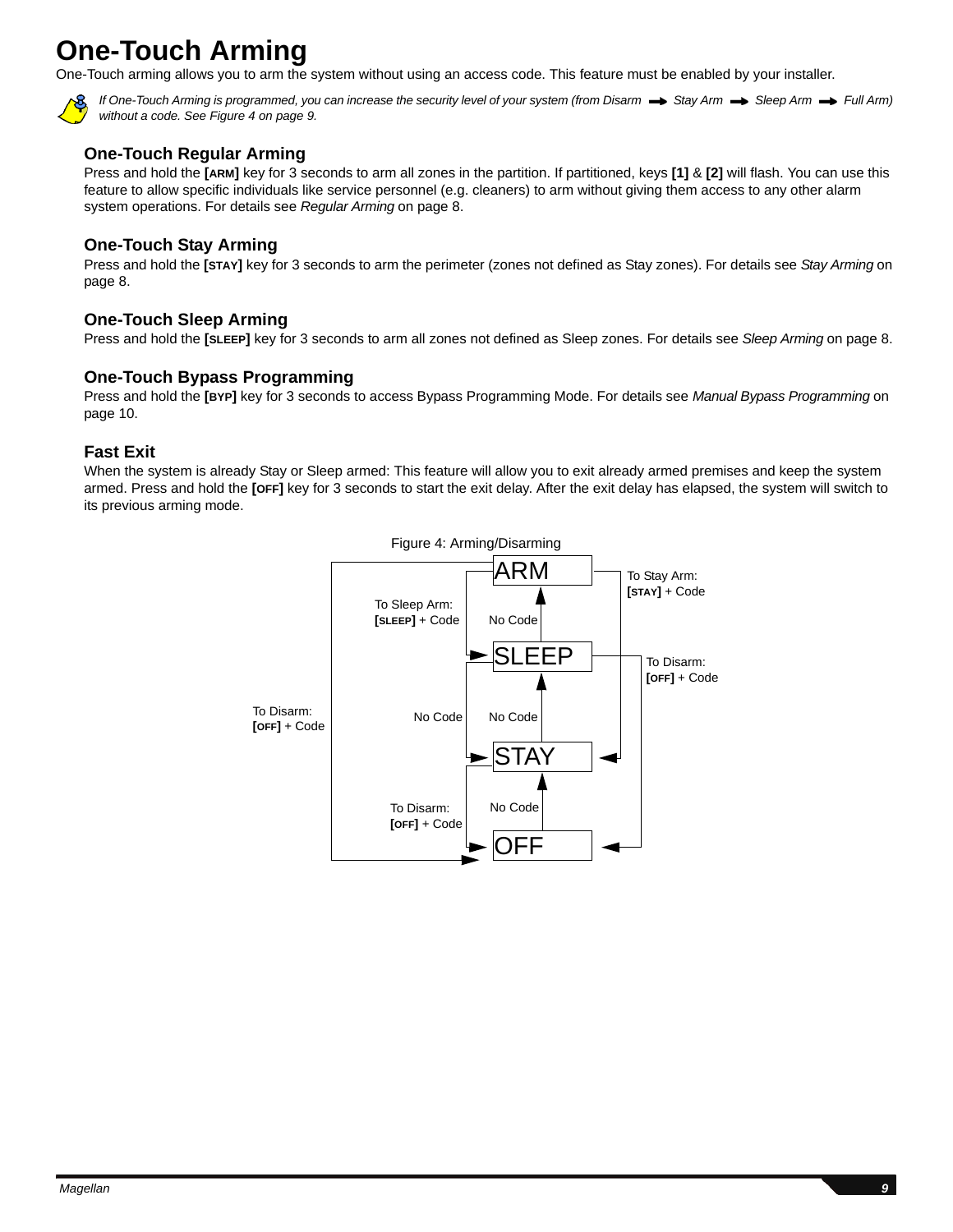# <span id="page-10-0"></span>**One-Touch Arming**

One-Touch arming allows you to arm the system without using an access code. This feature must be enabled by your installer.



*If One-Touch Arming is programmed, you can increase the security level of your system (from Disarm*  $\rightarrow$  *Stay Arm*  $\rightarrow$  *Sleep Arm*  $\rightarrow$  *Full Arm) without a code. See Figure 4 on [page 9.](#page-10-1)*

## **One-Touch Regular Arming**

Press and hold the **[ARM]** key for 3 seconds to arm all zones in the partition. If partitioned, keys **[1]** & **[2]** will flash. You can use this feature to allow specific individuals like service personnel (e.g. cleaners) to arm without giving them access to any other alarm system operations. For details see *[Regular Arming](#page-9-0)* on page 8.

## **One-Touch Stay Arming**

Press and hold the **[STAY]** key for 3 seconds to arm the perimeter (zones not defined as Stay zones). For details see *[Stay Arming](#page-9-1)* on [page 8](#page-9-1).

## **One-Touch Sleep Arming**

Press and hold the **[SLEEP]** key for 3 seconds to arm all zones not defined as Sleep zones. For details see *[Sleep Arming](#page-9-2)* on page 8.

## **One-Touch Bypass Programming**

Press and hold the **[BYP]** key for 3 seconds to access Bypass Programming Mode. For details see *[Manual Bypass Programming](#page-11-1)* on [page 10](#page-11-1).

## **Fast Exit**

<span id="page-10-1"></span>When the system is already Stay or Sleep armed: This feature will allow you to exit already armed premises and keep the system armed. Press and hold the **[OFF]** key for 3 seconds to start the exit delay. After the exit delay has elapsed, the system will switch to its previous arming mode.

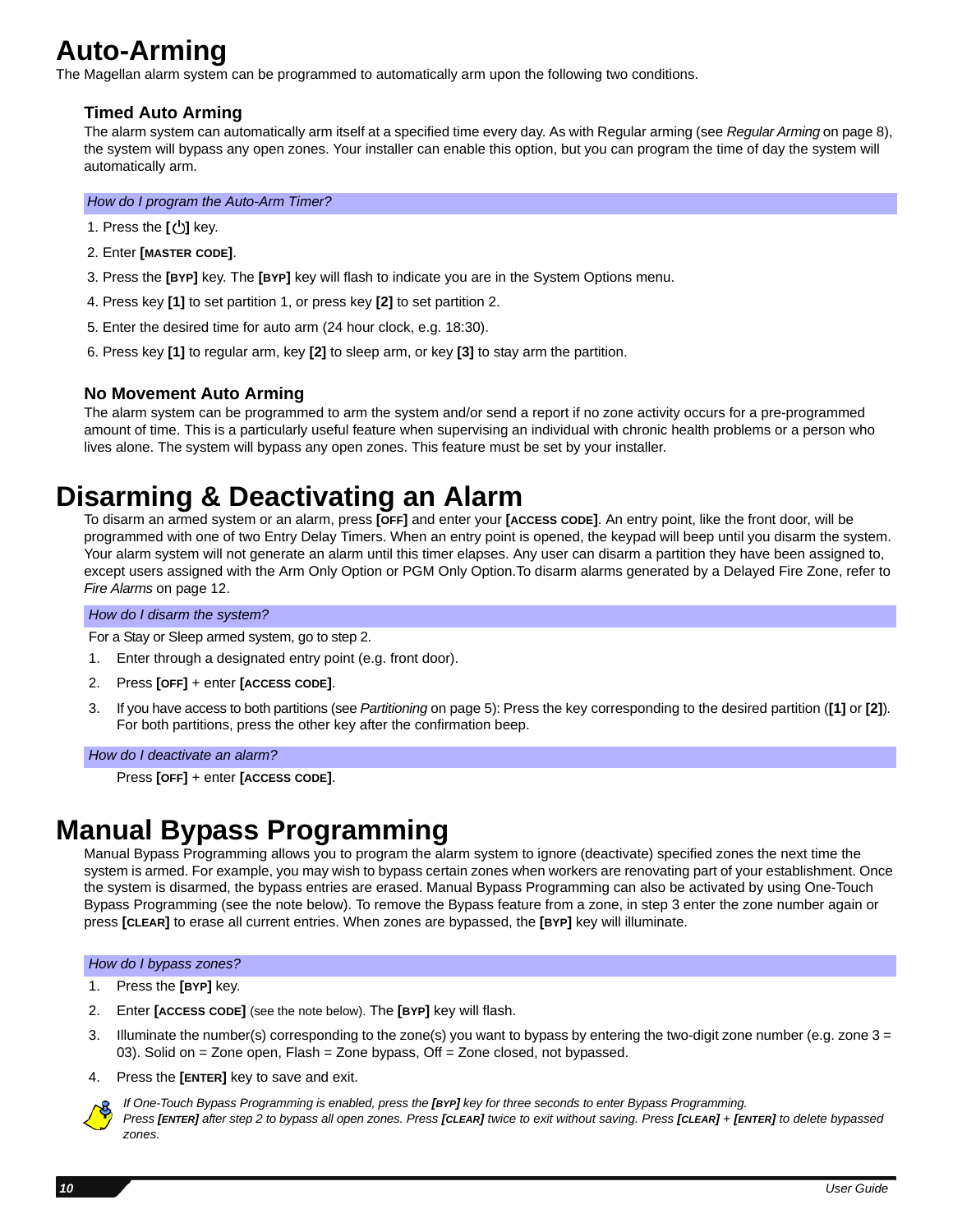# <span id="page-11-0"></span>**Auto-Arming**

The Magellan alarm system can be programmed to automatically arm upon the following two conditions.

## **Timed Auto Arming**

The alarm system can automatically arm itself at a specified time every day. As with Regular arming (see *[Regular Arming](#page-9-0)* on page 8), the system will bypass any open zones. Your installer can enable this option, but you can program the time of day the system will automatically arm.

*How do I program the Auto-Arm Timer?*

- 1. Press the [**b**] key.
- 2. Enter **[MASTER CODE]**.
- 3. Press the **[BYP]** key. The **[BYP]** key will flash to indicate you are in the System Options menu.
- 4. Press key **[1]** to set partition 1, or press key **[2]** to set partition 2.
- 5. Enter the desired time for auto arm (24 hour clock, e.g. 18:30).
- 6. Press key **[1]** to regular arm, key **[2]** to sleep arm, or key **[3]** to stay arm the partition.

## **No Movement Auto Arming**

The alarm system can be programmed to arm the system and/or send a report if no zone activity occurs for a pre-programmed amount of time. This is a particularly useful feature when supervising an individual with chronic health problems or a person who lives alone. The system will bypass any open zones. This feature must be set by your installer.

# **Disarming & Deactivating an Alarm**

To disarm an armed system or an alarm, press **[OFF]** and enter your **[ACCESS CODE]**. An entry point, like the front door, will be programmed with one of two Entry Delay Timers. When an entry point is opened, the keypad will beep until you disarm the system. Your alarm system will not generate an alarm until this timer elapses. Any user can disarm a partition they have been assigned to, except users assigned with the Arm Only Option or PGM Only Option.To disarm alarms generated by a Delayed Fire Zone, refer to *[Fire Alarms](#page-13-1)* on page 12.

### *How do I disarm the system?*

For a Stay or Sleep armed system, go to step 2.

- 1. Enter through a designated entry point (e.g. front door).
- 2. Press **[OFF]** + enter **[ACCESS CODE]**.
- 3. If you have access to both partitions (see *[Partitioning](#page-6-0)* on page 5): Press the key corresponding to the desired partition (**[1]** or **[2]**)*.* For both partitions, press the other key after the confirmation beep.

#### *How do I deactivate an alarm?*

Press **[OFF]** + enter **[ACCESS CODE]**.

# <span id="page-11-1"></span>**Manual Bypass Programming**

Manual Bypass Programming allows you to program the alarm system to ignore (deactivate) specified zones the next time the system is armed. For example, you may wish to bypass certain zones when workers are renovating part of your establishment. Once the system is disarmed, the bypass entries are erased. Manual Bypass Programming can also be activated by using One-Touch Bypass Programming (see the note below). To remove the Bypass feature from a zone, in step 3 enter the zone number again or press **[CLEAR]** to erase all current entries. When zones are bypassed, the **[BYP]** key will illuminate.

### *How do I bypass zones?*

- 1. Press the **[BYP]** key.
- 2. Enter **[ACCESS CODE]** (see the note below). The **[BYP]** key will flash.
- 3. Illuminate the number(s) corresponding to the zone(s) you want to bypass by entering the two-digit zone number (e.g. zone 3 = 03). Solid on = Zone open, Flash = Zone bypass, Off = Zone closed, not bypassed.
- 4. Press the **[ENTER]** key to save and exit.



*If One-Touch Bypass Programming is enabled, press the [BYP] key for three seconds to enter Bypass Programming. Press [ENTER] after step 2 to bypass all open zones. Press [CLEAR] twice to exit without saving. Press [CLEAR]* + *[ENTER] to delete bypassed zones.*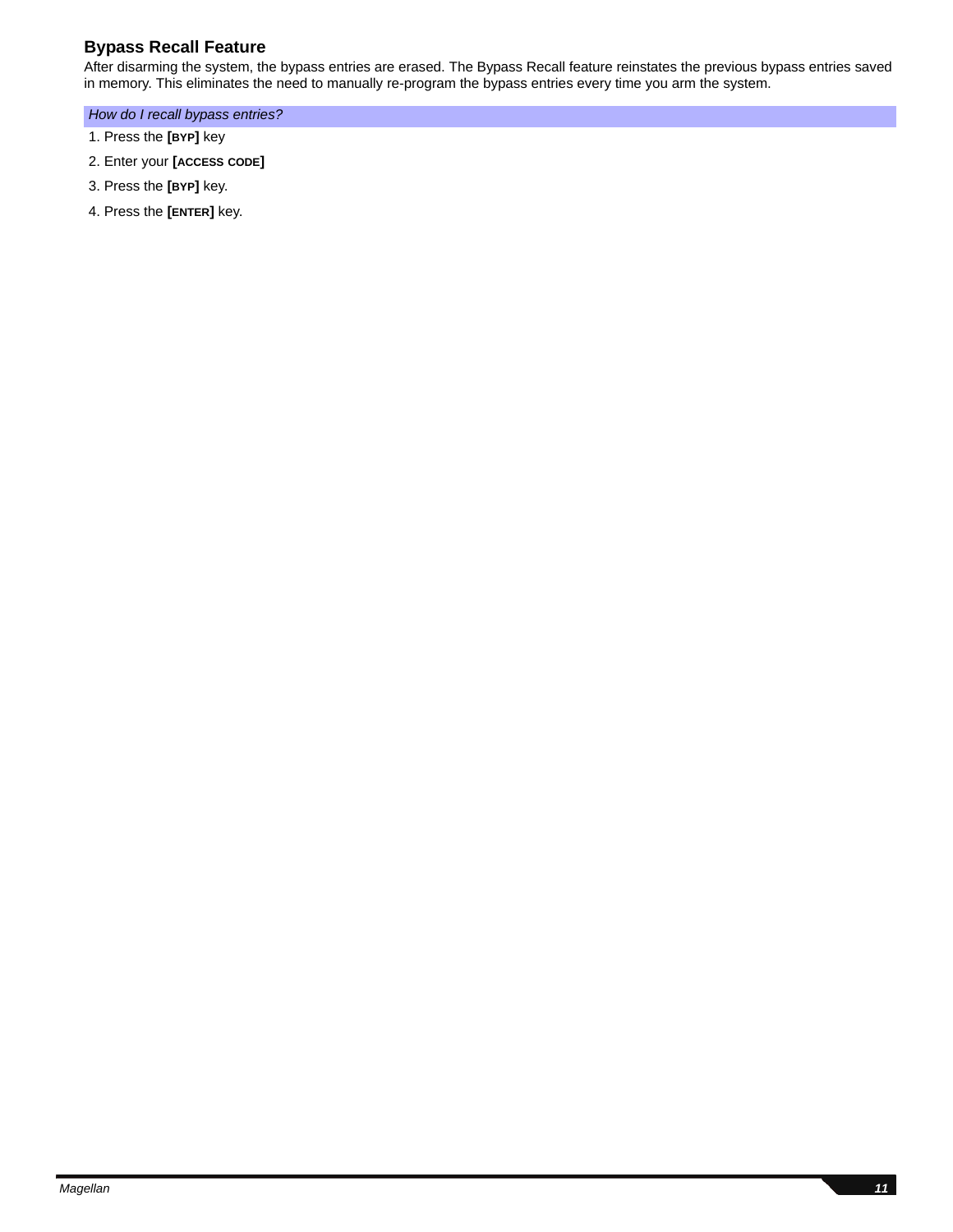## **Bypass Recall Feature**

After disarming the system, the bypass entries are erased. The Bypass Recall feature reinstates the previous bypass entries saved in memory. This eliminates the need to manually re-program the bypass entries every time you arm the system.

### *How do I recall bypass entries?*

- 1. Press the **[BYP]** key
- 2. Enter your **[ACCESS CODE]**
- 3. Press the **[BYP]** key.
- 4. Press the **[ENTER]** key.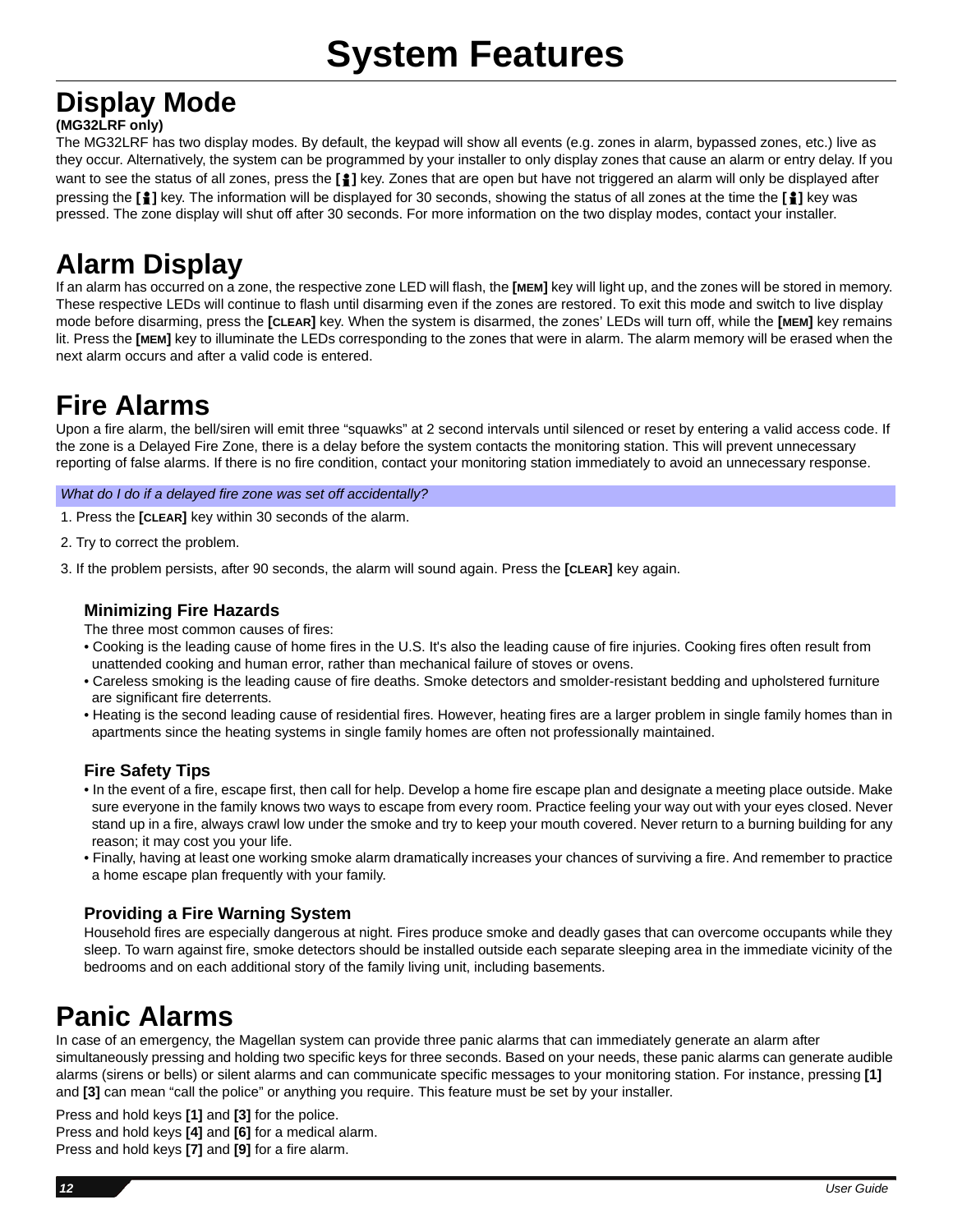# <span id="page-13-0"></span>**Display Mode**

## **(MG32LRF only)**

The MG32LRF has two display modes. By default, the keypad will show all events (e.g. zones in alarm, bypassed zones, etc.) live as they occur. Alternatively, the system can be programmed by your installer to only display zones that cause an alarm or entry delay. If you want to see the status of all zones, press the [1] key. Zones that are open but have not triggered an alarm will only be displayed after pressing the **[ ]** key. The information will be displayed for 30 seconds, showing the status of all zones at the time the **[ ]** key was pressed. The zone display will shut off after 30 seconds. For more information on the two display modes, contact your installer.

# **Alarm Display**

If an alarm has occurred on a zone, the respective zone LED will flash, the **[MEM]** key will light up, and the zones will be stored in memory. These respective LEDs will continue to flash until disarming even if the zones are restored. To exit this mode and switch to live display mode before disarming, press the **[CLEAR]** key. When the system is disarmed, the zones' LEDs will turn off, while the **[MEM]** key remains lit. Press the **[MEM]** key to illuminate the LEDs corresponding to the zones that were in alarm. The alarm memory will be erased when the next alarm occurs and after a valid code is entered.

# <span id="page-13-1"></span>**Fire Alarms**

Upon a fire alarm, the bell/siren will emit three "squawks" at 2 second intervals until silenced or reset by entering a valid access code. If the zone is a Delayed Fire Zone, there is a delay before the system contacts the monitoring station. This will prevent unnecessary reporting of false alarms. If there is no fire condition, contact your monitoring station immediately to avoid an unnecessary response.

*What do I do if a delayed fire zone was set off accidentally?*

1. Press the **[CLEAR]** key within 30 seconds of the alarm.

2. Try to correct the problem.

3. If the problem persists, after 90 seconds, the alarm will sound again. Press the **[CLEAR]** key again.

## **Minimizing Fire Hazards**

The three most common causes of fires:

- Cooking is the leading cause of home fires in the U.S. It's also the leading cause of fire injuries. Cooking fires often result from unattended cooking and human error, rather than mechanical failure of stoves or ovens.
- Careless smoking is the leading cause of fire deaths. Smoke detectors and smolder-resistant bedding and upholstered furniture are significant fire deterrents.
- Heating is the second leading cause of residential fires. However, heating fires are a larger problem in single family homes than in apartments since the heating systems in single family homes are often not professionally maintained.

## **Fire Safety Tips**

- In the event of a fire, escape first, then call for help. Develop a home fire escape plan and designate a meeting place outside. Make sure everyone in the family knows two ways to escape from every room. Practice feeling your way out with your eyes closed. Never stand up in a fire, always crawl low under the smoke and try to keep your mouth covered. Never return to a burning building for any reason; it may cost you your life.
- Finally, having at least one working smoke alarm dramatically increases your chances of surviving a fire. And remember to practice a home escape plan frequently with your family.

## **Providing a Fire Warning System**

Household fires are especially dangerous at night. Fires produce smoke and deadly gases that can overcome occupants while they sleep. To warn against fire, smoke detectors should be installed outside each separate sleeping area in the immediate vicinity of the bedrooms and on each additional story of the family living unit, including basements.

# **Panic Alarms**

In case of an emergency, the Magellan system can provide three panic alarms that can immediately generate an alarm after simultaneously pressing and holding two specific keys for three seconds. Based on your needs, these panic alarms can generate audible alarms (sirens or bells) or silent alarms and can communicate specific messages to your monitoring station. For instance, pressing **[1]** and **[3]** can mean "call the police" or anything you require. This feature must be set by your installer.

Press and hold keys **[1]** and **[3]** for the police. Press and hold keys **[4]** and **[6]** for a medical alarm. Press and hold keys **[7]** and **[9]** for a fire alarm.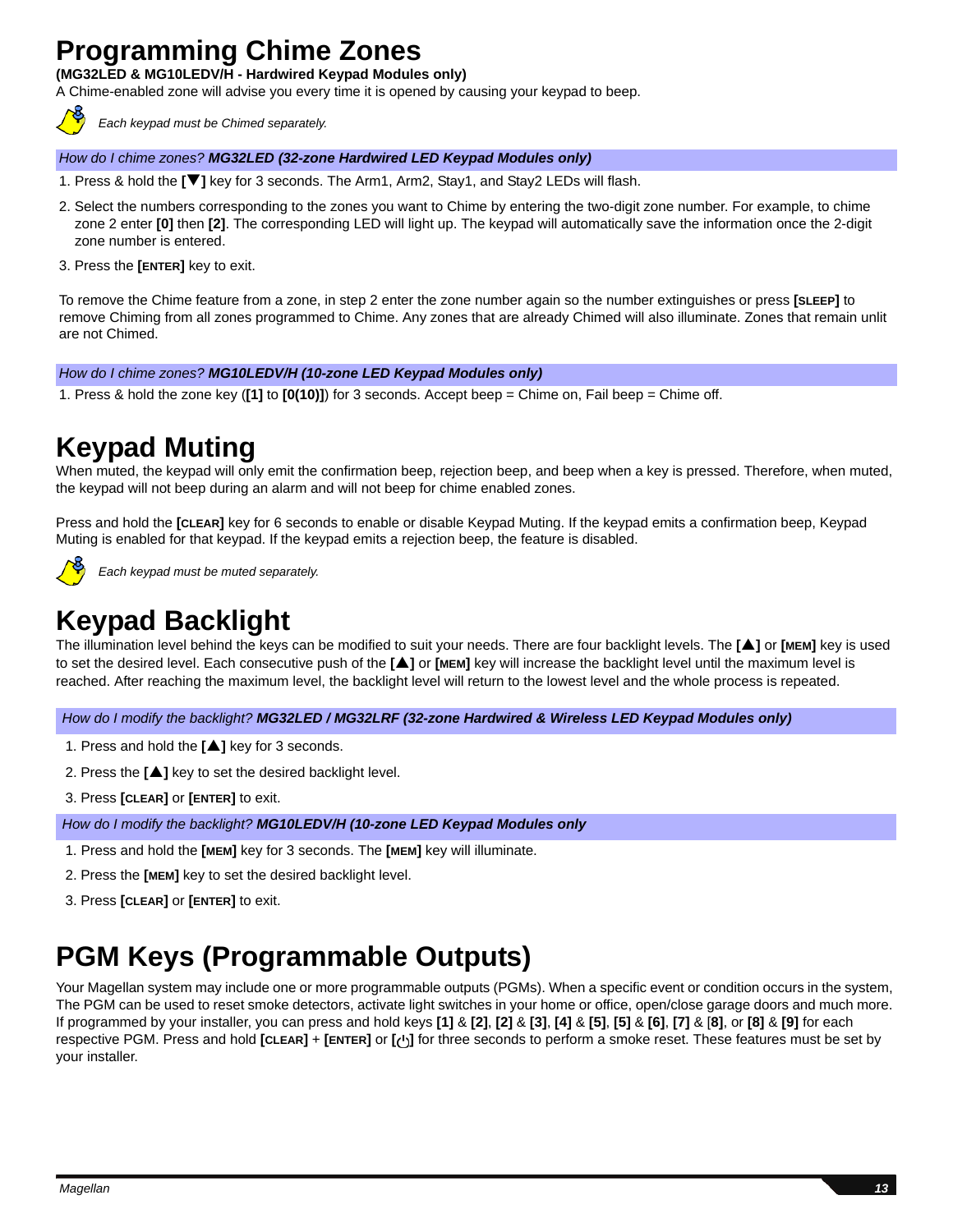# **Programming Chime Zones**

**(MG32LED & MG10LEDV/H - Hardwired Keypad Modules only)**

A Chime-enabled zone will advise you every time it is opened by causing your keypad to beep.



*Each keypad must be Chimed separately.* 

### *How do I chime zones? MG32LED (32-zone Hardwired LED Keypad Modules only)*

- 1. Press & hold the **[**T**]** key for 3 seconds. The Arm1, Arm2, Stay1, and Stay2 LEDs will flash.
- 2. Select the numbers corresponding to the zones you want to Chime by entering the two-digit zone number. For example, to chime zone 2 enter **[0]** then **[2]**. The corresponding LED will light up. The keypad will automatically save the information once the 2-digit zone number is entered.
- 3. Press the **[ENTER]** key to exit.

To remove the Chime feature from a zone, in step 2 enter the zone number again so the number extinguishes or press **[SLEEP]** to remove Chiming from all zones programmed to Chime. Any zones that are already Chimed will also illuminate. Zones that remain unlit are not Chimed.

#### *How do I chime zones? MG10LEDV/H (10-zone LED Keypad Modules only)*

1. Press & hold the zone key (**[1]** to **[0(10)]**) for 3 seconds. Accept beep = Chime on, Fail beep = Chime off.

# **Keypad Muting**

When muted, the keypad will only emit the confirmation beep, rejection beep, and beep when a key is pressed. Therefore, when muted, the keypad will not beep during an alarm and will not beep for chime enabled zones.

Press and hold the **[CLEAR]** key for 6 seconds to enable or disable Keypad Muting. If the keypad emits a confirmation beep, Keypad Muting is enabled for that keypad. If the keypad emits a rejection beep, the feature is disabled.



*Each keypad must be muted separately.* 

# **Keypad Backlight**

The illumination level behind the keys can be modified to suit your needs. There are four backlight levels. The **[**S**]** or **[MEM]** key is used to set the desired level. Each consecutive push of the **[**S**]** or **[MEM]** key will increase the backlight level until the maximum level is reached. After reaching the maximum level, the backlight level will return to the lowest level and the whole process is repeated.

*How do I modify the backlight? MG32LED / MG32LRF (32-zone Hardwired & Wireless LED Keypad Modules only)*

- 1. Press and hold the [**A**] key for 3 seconds.
- 2. Press the **[A]** key to set the desired backlight level.
- 3. Press **[CLEAR]** or **[ENTER]** to exit.

*How do I modify the backlight? MG10LEDV/H (10-zone LED Keypad Modules only*

- 1. Press and hold the **[MEM]** key for 3 seconds. The **[MEM]** key will illuminate.
- 2. Press the **[MEM]** key to set the desired backlight level.
- 3. Press **[CLEAR]** or **[ENTER]** to exit.

# **PGM Keys (Programmable Outputs)**

Your Magellan system may include one or more programmable outputs (PGMs). When a specific event or condition occurs in the system, The PGM can be used to reset smoke detectors, activate light switches in your home or office, open/close garage doors and much more. If programmed by your installer, you can press and hold keys **[1]** & **[2]**, **[2]** & **[3]**, **[4]** & **[5]**, **[5]** & **[6]**, **[7]** & [**8]**, or **[8]** & **[9]** for each respective PGM. Press and hold **[CLEAR]** + **[ENTER]** or **[ ]** for three seconds to perform a smoke reset. These features must be set by your installer.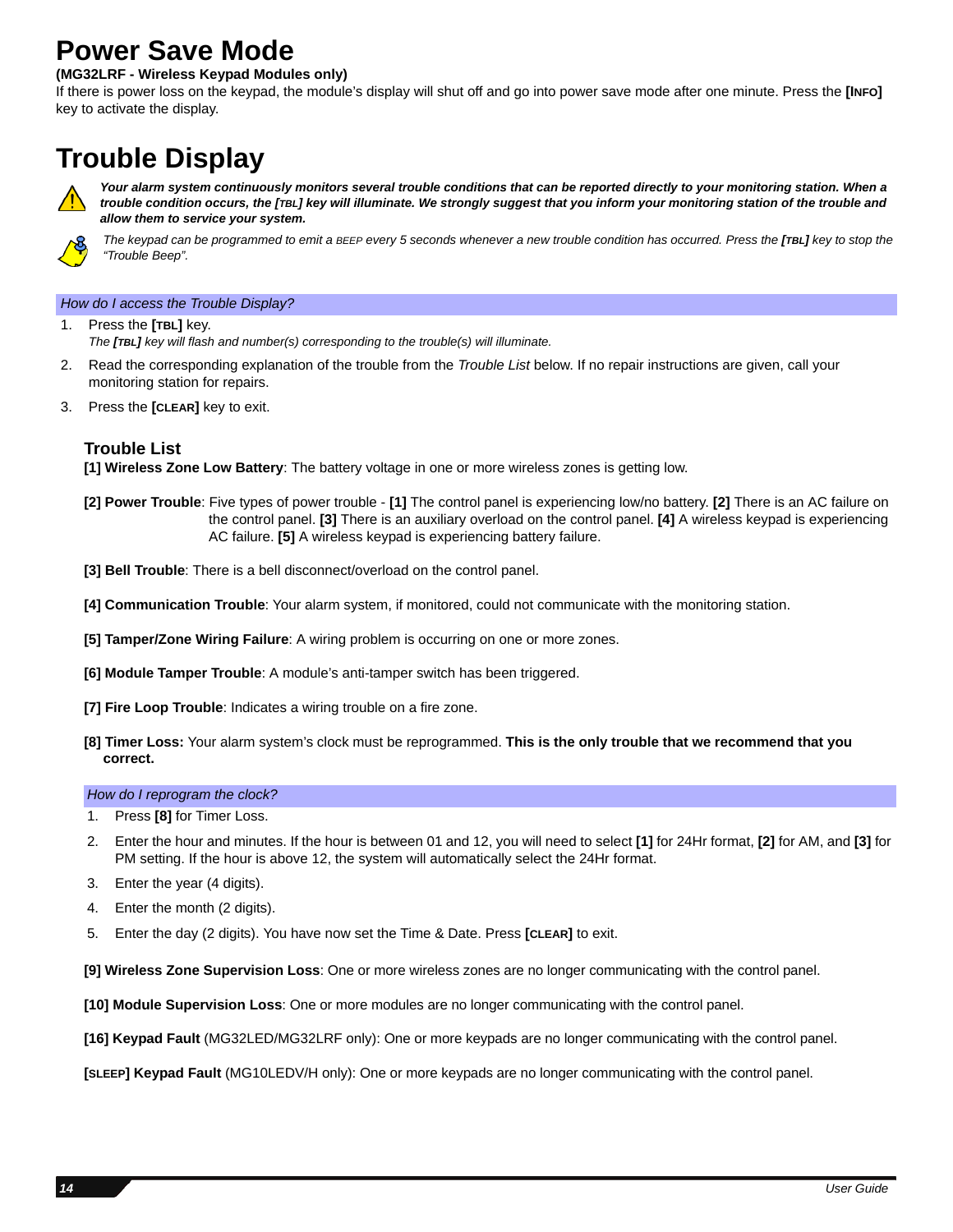# **Power Save Mode**

### **(MG32LRF - Wireless Keypad Modules only)**

If there is power loss on the keypad, the module's display will shut off and go into power save mode after one minute. Press the **[INFO]** key to activate the display.

# **Trouble Display**



Your alarm system continuously monitors several trouble conditions that can be reported directly to your monitoring station. When a *trouble condition occurs, the [TBL] key will illuminate. We strongly suggest that you inform your monitoring station of the trouble and allow them to service your system.*



*The keypad can be programmed to emit a BEEP every 5 seconds whenever a new trouble condition has occurred. Press the [TBL] key to stop the "Trouble Beep".*

### *How do I access the Trouble Display?*

- 1. Press the **[TBL]** key. *The [TBL] key will flash and number(s) corresponding to the trouble(s) will illuminate.*
- 2. Read the corresponding explanation of the trouble from the *Trouble List* below. If no repair instructions are given, call your monitoring station for repairs.
- 3. Press the **[CLEAR]** key to exit.

### **Trouble List**

**[1] Wireless Zone Low Battery**: The battery voltage in one or more wireless zones is getting low.

- **[2] Power Trouble**: Five types of power trouble **[1]** The control panel is experiencing low/no battery. **[2]** There is an AC failure on the control panel. **[3]** There is an auxiliary overload on the control panel. **[4]** A wireless keypad is experiencing AC failure. **[5]** A wireless keypad is experiencing battery failure.
- **[3] Bell Trouble**: There is a bell disconnect/overload on the control panel.
- **[4] Communication Trouble**: Your alarm system, if monitored, could not communicate with the monitoring station.
- **[5] Tamper/Zone Wiring Failure**: A wiring problem is occurring on one or more zones.
- **[6] Module Tamper Trouble**: A module's anti-tamper switch has been triggered.
- **[7] Fire Loop Trouble**: Indicates a wiring trouble on a fire zone.
- **[8] Timer Loss:** Your alarm system's clock must be reprogrammed. **This is the only trouble that we recommend that you correct.**

#### *How do I reprogram the clock?*

- Press **[8]** for Timer Loss.
- 2. Enter the hour and minutes. If the hour is between 01 and 12, you will need to select **[1]** for 24Hr format, **[2]** for AM, and **[3]** for PM setting. If the hour is above 12, the system will automatically select the 24Hr format.
- 3. Enter the year (4 digits).
- 4. Enter the month (2 digits).
- 5. Enter the day (2 digits). You have now set the Time & Date. Press **[CLEAR]** to exit.

**[9] Wireless Zone Supervision Loss**: One or more wireless zones are no longer communicating with the control panel.

- **[10] Module Supervision Loss**: One or more modules are no longer communicating with the control panel.
- **[16] Keypad Fault** (MG32LED/MG32LRF only): One or more keypads are no longer communicating with the control panel.

**[SLEEP] Keypad Fault** (MG10LEDV/H only): One or more keypads are no longer communicating with the control panel.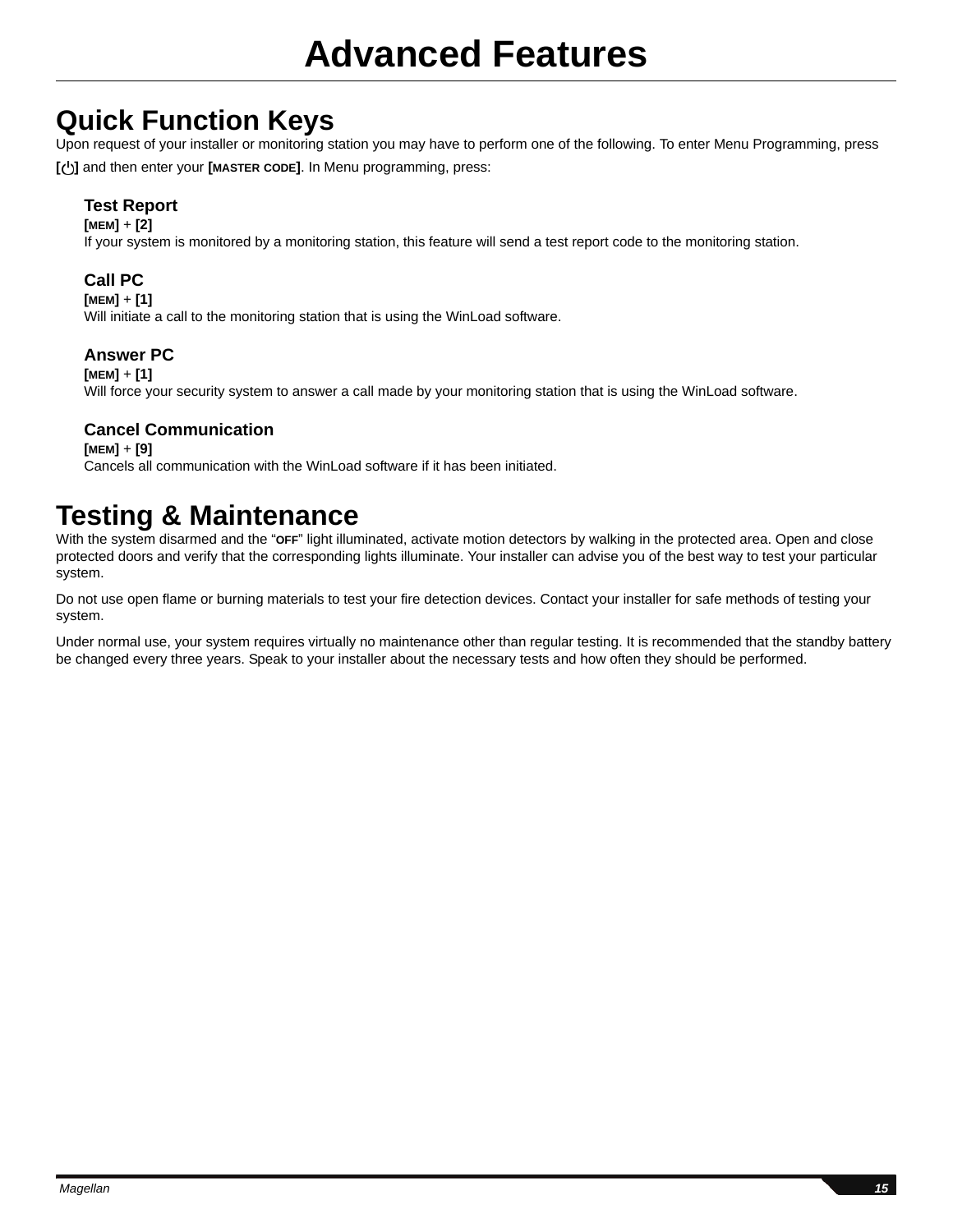# **Quick Function Keys**

Upon request of your installer or monitoring station you may have to perform one of the following. To enter Menu Programming, press **[ ]** and then enter your **[MASTER CODE]**. In Menu programming, press:

## **Test Report**

### **[MEM]** + **[2]**

If your system is monitored by a monitoring station, this feature will send a test report code to the monitoring station.

## **Call PC**

**[MEM]** + **[1]**

Will initiate a call to the monitoring station that is using the WinLoad software.

## **Answer PC**

### **[MEM]** + **[1]**

Will force your security system to answer a call made by your monitoring station that is using the WinLoad software.

## **Cancel Communication**

### **[MEM]** + **[9]** Cancels all communication with the WinLoad software if it has been initiated.

# **Testing & Maintenance**

With the system disarmed and the "**OFF**" light illuminated, activate motion detectors by walking in the protected area. Open and close protected doors and verify that the corresponding lights illuminate. Your installer can advise you of the best way to test your particular system.

Do not use open flame or burning materials to test your fire detection devices. Contact your installer for safe methods of testing your system.

Under normal use, your system requires virtually no maintenance other than regular testing. It is recommended that the standby battery be changed every three years. Speak to your installer about the necessary tests and how often they should be performed.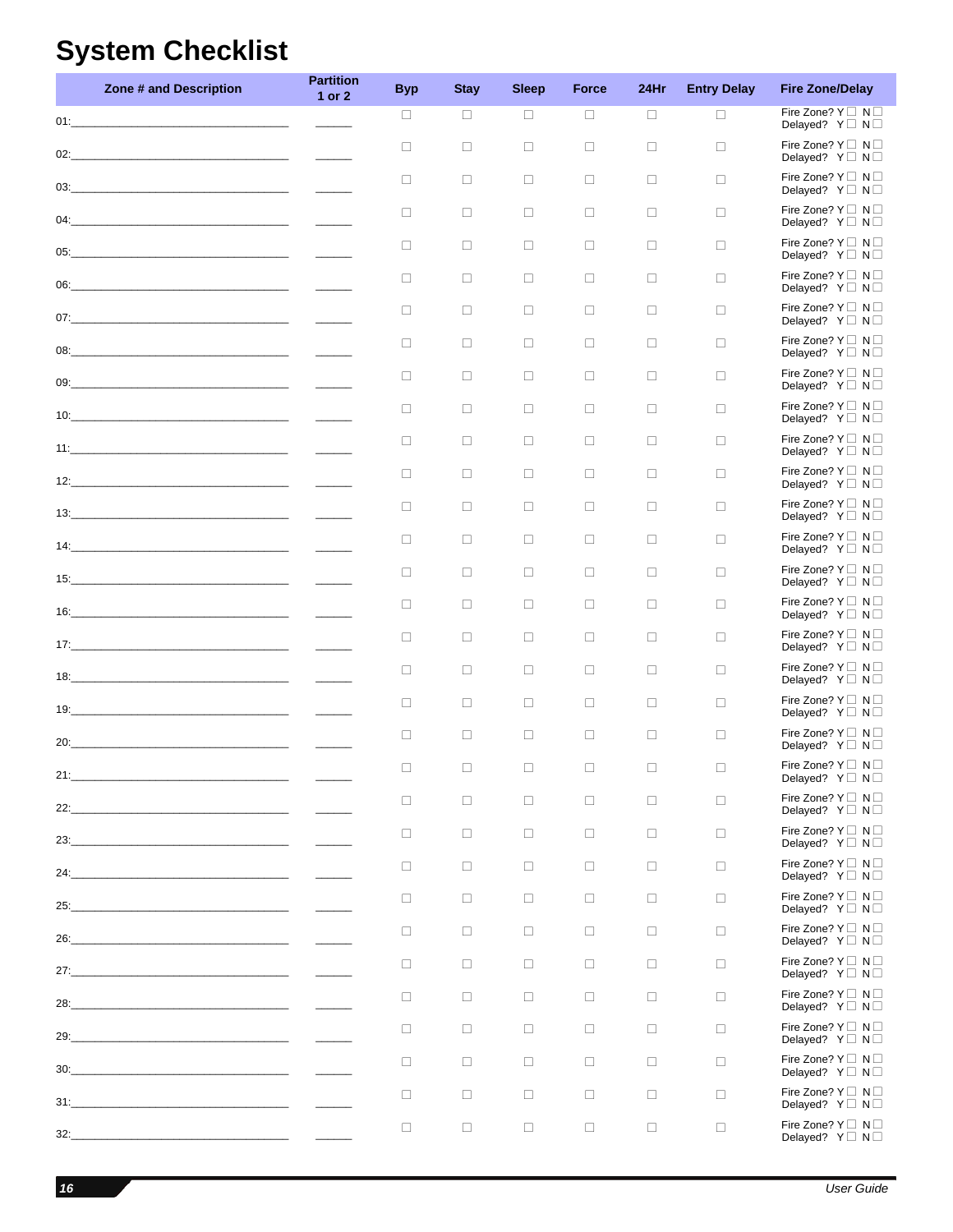# <span id="page-17-0"></span>**System Checklist**

|     | Zone # and Description                                                                                               | <b>Partition</b><br>1 or 2                                                                                                                                                                                                                                                                                                                                                                                                                                                 | <b>Byp</b> | <b>Stay</b> | <b>Sleep</b> | <b>Force</b> | 24Hr   | <b>Entry Delay</b> | <b>Fire Zone/Delay</b>                                                              |
|-----|----------------------------------------------------------------------------------------------------------------------|----------------------------------------------------------------------------------------------------------------------------------------------------------------------------------------------------------------------------------------------------------------------------------------------------------------------------------------------------------------------------------------------------------------------------------------------------------------------------|------------|-------------|--------------|--------------|--------|--------------------|-------------------------------------------------------------------------------------|
|     |                                                                                                                      |                                                                                                                                                                                                                                                                                                                                                                                                                                                                            | $\Box$     | $\Box$      | $\Box$       | $\Box$       | $\Box$ | $\Box$             | Fire Zone? $Y \square N \square$<br>Delayed? $Y \square N \square$                  |
| 02: | <u> 2000 - Jan James James Jan James James James James James James James James James James James James James Jam</u> | $\frac{1}{2} \left( \frac{1}{2} \right) \left( \frac{1}{2} \right) \left( \frac{1}{2} \right) \left( \frac{1}{2} \right) \left( \frac{1}{2} \right) \left( \frac{1}{2} \right) \left( \frac{1}{2} \right) \left( \frac{1}{2} \right) \left( \frac{1}{2} \right) \left( \frac{1}{2} \right) \left( \frac{1}{2} \right) \left( \frac{1}{2} \right) \left( \frac{1}{2} \right) \left( \frac{1}{2} \right) \left( \frac{1}{2} \right) \left( \frac{1}{2} \right) \left( \frac$ | $\Box$     | $\Box$      | $\Box$       | $\Box$       | $\Box$ | $\Box$             | Fire Zone? $Y \square N \square$<br>Delayed? $Y \square N \square$                  |
| 03: |                                                                                                                      |                                                                                                                                                                                                                                                                                                                                                                                                                                                                            | $\Box$     | $\Box$      | $\Box$       | $\Box$       | $\Box$ | $\Box$             | Fire Zone? $Y \square \mathsf{N} \square$<br>Delayed? $Y \square N \square$         |
|     | 04:                                                                                                                  |                                                                                                                                                                                                                                                                                                                                                                                                                                                                            | $\Box$     | $\Box$      | $\Box$       | $\Box$       | $\Box$ | $\Box$             | Fire Zone? $Y \square N \square$<br>Delayed? $Y \square N \square$                  |
|     |                                                                                                                      |                                                                                                                                                                                                                                                                                                                                                                                                                                                                            | $\Box$     | $\Box$      | $\Box$       | $\Box$       | $\Box$ | $\Box$             | Fire Zone? $Y \square N \square$<br>Delayed? $Y \square N \square$                  |
| 06: |                                                                                                                      | $\frac{1}{2} \left( \frac{1}{2} \right) \left( \frac{1}{2} \right) \left( \frac{1}{2} \right) \left( \frac{1}{2} \right) \left( \frac{1}{2} \right) \left( \frac{1}{2} \right) \left( \frac{1}{2} \right) \left( \frac{1}{2} \right) \left( \frac{1}{2} \right) \left( \frac{1}{2} \right) \left( \frac{1}{2} \right) \left( \frac{1}{2} \right) \left( \frac{1}{2} \right) \left( \frac{1}{2} \right) \left( \frac{1}{2} \right) \left( \frac{1}{2} \right) \left( \frac$ | $\Box$     | $\Box$      | $\Box$       | $\Box$       | $\Box$ | $\Box$             | Fire Zone? $Y \square N \square$<br>Delayed? $Y \square N \square$                  |
| 07: |                                                                                                                      |                                                                                                                                                                                                                                                                                                                                                                                                                                                                            | $\Box$     | $\Box$      | $\Box$       | $\Box$       | $\Box$ | $\Box$             | Fire Zone? $Y \square N \square$<br>Delayed? $Y \square N \square$                  |
|     |                                                                                                                      |                                                                                                                                                                                                                                                                                                                                                                                                                                                                            | $\Box$     | $\Box$      | $\Box$       | $\Box$       | $\Box$ | $\Box$             | Fire Zone? $Y \square N \square$<br>Delayed? $Y \square N \square$                  |
|     |                                                                                                                      |                                                                                                                                                                                                                                                                                                                                                                                                                                                                            | $\Box$     | $\Box$      | $\Box$       | $\Box$       | $\Box$ | $\Box$             | Fire Zone? $Y \square \mathsf{N} \square$<br>Delayed? $Y \square N \square$         |
|     |                                                                                                                      |                                                                                                                                                                                                                                                                                                                                                                                                                                                                            | $\Box$     | $\Box$      | $\Box$       | $\Box$       | $\Box$ | $\Box$             | Fire Zone? $Y \square N \square$<br>Delayed? Y <sup>I</sup> N <sup>I</sup>          |
|     | $11:$ $\blacksquare$                                                                                                 |                                                                                                                                                                                                                                                                                                                                                                                                                                                                            | $\Box$     | $\Box$      | $\Box$       | $\Box$       | $\Box$ | $\Box$             | Fire Zone? $Y \square N \square$<br>Delayed? $Y \square N \square$                  |
|     | 12:                                                                                                                  |                                                                                                                                                                                                                                                                                                                                                                                                                                                                            | $\Box$     | $\Box$      | $\Box$       | $\Box$       | $\Box$ | $\Box$             | Fire Zone? $Y \square N \square$<br>Delayed? $Y \square N \square$                  |
|     |                                                                                                                      |                                                                                                                                                                                                                                                                                                                                                                                                                                                                            | $\Box$     | $\Box$      | $\Box$       | $\Box$       | $\Box$ | $\Box$             | Fire Zone? $Y \square \mathsf{N} \square$<br>Delayed? $Y \square N \square$         |
|     |                                                                                                                      |                                                                                                                                                                                                                                                                                                                                                                                                                                                                            | $\Box$     | $\Box$      | $\Box$       | $\Box$       | $\Box$ | $\Box$             | Fire Zone? $Y \square N \square$<br>Delayed? $Y \square N \square$                  |
|     |                                                                                                                      |                                                                                                                                                                                                                                                                                                                                                                                                                                                                            | $\Box$     | $\Box$      | $\Box$       | $\Box$       | $\Box$ | $\Box$             | Fire Zone? $Y \square N \square$<br>Delayed? $Y \square N \square$                  |
|     |                                                                                                                      |                                                                                                                                                                                                                                                                                                                                                                                                                                                                            | $\Box$     | $\Box$      | $\Box$       | $\Box$       | $\Box$ | $\Box$             | Fire Zone? $Y \square N \square$<br>Delayed? $Y \square N \square$                  |
|     |                                                                                                                      |                                                                                                                                                                                                                                                                                                                                                                                                                                                                            | $\Box$     | $\Box$      | $\Box$       | $\Box$       | $\Box$ | $\Box$             | Fire Zone? $Y \square N \square$<br>Delayed? $Y \square N \square$                  |
|     |                                                                                                                      |                                                                                                                                                                                                                                                                                                                                                                                                                                                                            | $\Box$     | $\Box$      | $\Box$       | $\Box$       | $\Box$ | $\Box$             | Fire Zone? $Y \square N \square$<br>Delayed? Y□ N□                                  |
| 19: |                                                                                                                      |                                                                                                                                                                                                                                                                                                                                                                                                                                                                            | $\Box$     | $\Box$      | $\Box$       | $\Box$       | $\Box$ | $\Box$             | Fire Zone? $Y \Box N \Box$<br>Delayed? $Y \square N \square$                        |
| 20: |                                                                                                                      |                                                                                                                                                                                                                                                                                                                                                                                                                                                                            | $\Box$     | $\Box$      | П            | $\Box$       | $\Box$ | $\Box$             | Fire Zone? $Y \square N \square$<br>Delayed? $Y \square N \square$                  |
| 21: | the control of the control of the control of the control of the control of the control of                            |                                                                                                                                                                                                                                                                                                                                                                                                                                                                            | $\Box$     | n.          | П.           | П.           | n.     | $\Box$             | Fire Zone? Y□ N□<br>Delayed? Y N N                                                  |
| 22: | <u> 1989 - Johann Barbara, martin amerikan personal (</u>                                                            |                                                                                                                                                                                                                                                                                                                                                                                                                                                                            | $\Box$     | $\Box$      | $\Box$       | $\Box$       | $\Box$ | $\Box$             | Fire Zone? $Y \square \neg N \square$<br>Delayed? Y <sup>I</sup> N <sup>I</sup>     |
| 23: |                                                                                                                      |                                                                                                                                                                                                                                                                                                                                                                                                                                                                            | $\Box$     | $\Box$      | $\Box$       | $\Box$       | $\Box$ | $\Box$             | Fire Zone? $Y \square \neg N \square$<br>Delayed? Y <sup>I</sup> N <sup>I</sup>     |
| 24: | <u> 1989 - Johann Barbara, martin amerikan ba</u>                                                                    |                                                                                                                                                                                                                                                                                                                                                                                                                                                                            | $\Box$     | $\Box$      | $\Box$       | $\Box$       | $\Box$ | $\Box$             | Fire Zone? $Y \square \mathbb{N} \square$<br>Delayed? $Y \square N \square$         |
| 25: |                                                                                                                      |                                                                                                                                                                                                                                                                                                                                                                                                                                                                            | $\Box$     | $\Box$      | $\Box$       | $\Box$       | $\Box$ | $\Box$             | Fire Zone? Y□ N□<br>Delayed? $Y \square N \square$                                  |
| 26: | <u> 1989 - Johann Barbara, martin amerikan basar da</u>                                                              |                                                                                                                                                                                                                                                                                                                                                                                                                                                                            | $\Box$     | $\Box$      | $\Box$       | $\Box$       | $\Box$ | $\Box$             | Fire Zone? $Y \square \mathbb{N} \square$<br>Delayed? Y <sup>I</sup> N <sup>I</sup> |
|     | 27:                                                                                                                  |                                                                                                                                                                                                                                                                                                                                                                                                                                                                            | $\Box$     | $\Box$      | $\Box$       | $\Box$       | $\Box$ | $\Box$             | Fire Zone? Y□ N□<br>Delayed? Y <sup>I</sup> N <sup>I</sup>                          |
| 28: |                                                                                                                      |                                                                                                                                                                                                                                                                                                                                                                                                                                                                            | $\Box$     | $\Box$      | $\Box$       | $\Box$       | $\Box$ | $\Box$             | Fire Zone? $Y \square \neg N \square$<br>Delayed? $Y \square N \square$             |
| 29: |                                                                                                                      |                                                                                                                                                                                                                                                                                                                                                                                                                                                                            | $\Box$     | $\Box$      | $\Box$       | $\Box$       | $\Box$ | $\Box$             | Fire Zone? $Y \square \neg N \square$<br>Delayed? $Y \square N \square$             |
| 30: |                                                                                                                      |                                                                                                                                                                                                                                                                                                                                                                                                                                                                            | $\Box$     | $\Box$      | $\Box$       | $\Box$       | $\Box$ | $\Box$             | Fire Zone? $Y \square \neg N \square$<br>Delayed? $Y \square N \square$             |
| 31: |                                                                                                                      |                                                                                                                                                                                                                                                                                                                                                                                                                                                                            | $\Box$     | $\Box$      | $\Box$       | $\Box$       | $\Box$ | $\Box$             | Fire Zone? Y N N<br>Delayed? Y <sup>I</sup> N <sup>I</sup>                          |
|     | 32:                                                                                                                  |                                                                                                                                                                                                                                                                                                                                                                                                                                                                            | $\Box$     | $\Box$      | $\Box$       | $\Box$       | $\Box$ | $\Box$             | Fire Zone? $Y \square \mathbb{N} \square$<br>Delayed? Y N N                         |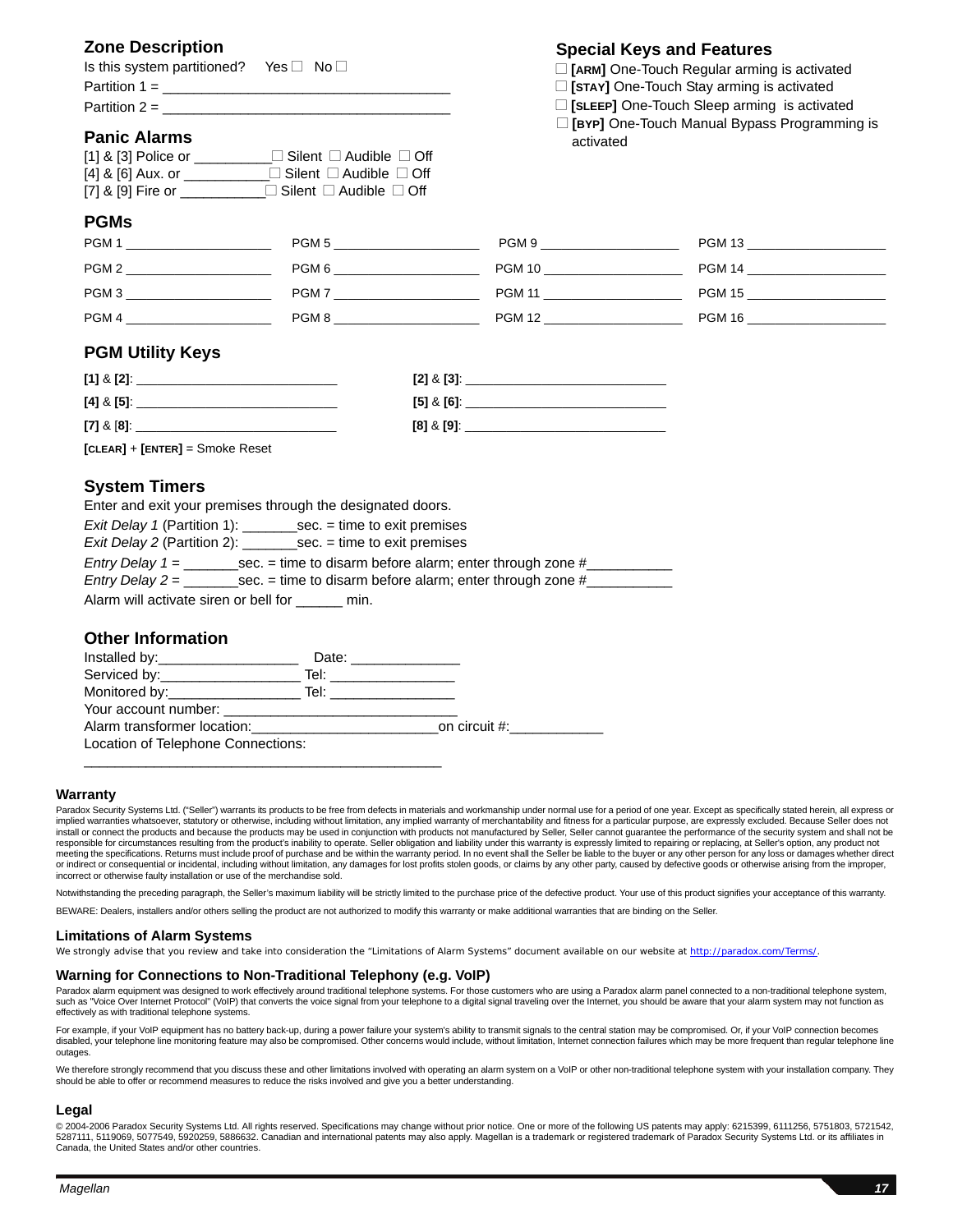## **Zone Description**

| Is this system partitioned? Yes $\Box$ No $\Box$ |  |
|--------------------------------------------------|--|
| Partition $1 =$                                  |  |
| Partition $2 =$                                  |  |

### **Panic Alarms**

| $[1]$ & $[3]$ Police or | $\Box$ Silent $\Box$ Audible $\Box$ Off |
|-------------------------|-----------------------------------------|
| [4] & [6] Aux. or       | $\Box$ Silent $\Box$ Audible $\Box$ Off |
| [7] & [9] Fire or       | $\Box$ Silent $\Box$ Audible $\Box$ Off |

### **PGMs**

| PGM <sub>1</sub><br>PGM <sub>5</sub> | PGM 9         | <b>PGM 13</b> |
|--------------------------------------|---------------|---------------|
| PGM <sub>2</sub><br>PGM 6            | <b>PGM 10</b> | <b>PGM 14</b> |
| PGM <sub>3</sub><br>PGM7             | <b>PGM 11</b> | <b>PGM 15</b> |
| PGM <sub>4</sub><br>PGM 8            | <b>PGM 12</b> | <b>PGM 16</b> |

## **PGM Utility Keys**

| $[1]$ & $[2]$ : | $[2] 8 [3]$ :   |
|-----------------|-----------------|
| $[4]$ & $[5]$ : | $[5] 8 [6]$ :   |
| $[7]$ & $[8]$ . | $[8]$ & $[9]$ . |

**[CLEAR]** + **[ENTER]** = Smoke Reset

### **System Timers**

Enter and exit your premises through the designated doors.

| <i>Exit Delay 1</i> (Partition 1):<br>$sec. = time to exit premises$              |  |  |
|-----------------------------------------------------------------------------------|--|--|
| Exit Delay 2 (Partition 2):<br>$sec. = time to exit premises$                     |  |  |
| sec. $=$ time to disarm before alarm; enter through zone #<br>Entry Delay $1 =$   |  |  |
| sec. $=$ time to disarm before alarm; enter through zone #<br>$Entry$ Delay $2 =$ |  |  |
| Alarm will activate siren or bell for<br>mın.                                     |  |  |

### **Other Information**

| Installed by: ________________________ | Date: __________________                      |
|----------------------------------------|-----------------------------------------------|
|                                        |                                               |
|                                        |                                               |
|                                        |                                               |
|                                        | Alarm transformer location: 000 on circuit #: |
| Location of Telephone Connections:     |                                               |
|                                        |                                               |

#### **Warranty**

Paradox Security Systems Ltd. ("Seller") warrants its products to be free from defects in materials and workmanship under normal use for a period of one year. Except as specifically stated herein, all express or implied warranties whatsoever, statutory or otherwise, including without limitation, any implied warranty of merchantability and fitness for a particular purpose, are expressly excluded. Because Seller does not install or connect the products and because the products may be used in conjunction with products not manufactured by Seller, Seller cannot guarantee the performance of the security system and shall not be<br>responsible for meeting the specifications. Returns must include proof of purchase and be within the warranty period. In no event shall the Seller be liable to the buyer or any other person for any loss or damages whether direct or indirect or consequential or incidental, including without limitation, any damages for lost profits stolen goods, or claims by any other party, caused by defective goods or otherwise arising from the improper,<br>incorrect

Notwithstanding the preceding paragraph, the Seller's maximum liability will be strictly limited to the purchase price of the defective product. Your use of this product signifies your acceptance of this warranty. BEWARE: Dealers, installers and/or others selling the product are not authorized to modify this warranty or make additional warranties that are binding on the Seller.

#### **Limitations of Alarm Systems**

We strongly advise that you review and take into consideration the "Limitations of Alarm Systems" document available on our website at http://paradox.com/Terms/.

#### **Warning for Connections to Non-Traditional Telephony (e.g. VoIP)**

Paradox alarm equipment was designed to work effectively around traditional telephone systems. For those customers who are using a Paradox alarm panel connected to a non-traditional telephone system, such as "Voice Over Internet Protocol" (VoIP) that converts the voice signal from your telephone to a digital signal traveling over the Internet, you should be aware that your alarm system may not function as effectively as with traditional telephone systems.

For example, if your VoIP equipment has no battery back-up, during a power failure your system's ability to transmit signals to the central station may be compromised. Or, if your VoIP connection becomes disabled, your telephone line monitoring feature may also be compromised. Other concerns would include, without limitation, Internet connection failures which may be more frequent than reqular telephone line outages.

We therefore strongly recommend that you discuss these and other limitations involved with operating an alarm system on a VoIP or other non-traditional telephone system with your installation company. They should be able to offer or recommend measures to reduce the risks involved and give you a better understanding.

#### **Legal**

© 2004-2006 Paradox Security Systems Ltd. All rights reserved. Specifications may change without prior notice. One or more of the following US patents may apply: 6215399, 6111256, 5751803, 5721542, 5287111, 5119069, 5077549, 5920259, 5886632. Canadian and international patents may also apply. Magellan is a trademark or registered trademark of Paradox Security Systems Ltd. or its affiliates in Canada, the United States and/or other countries.

#### **Special Keys and Features**

- □ **[ARM]** One-Touch Regular arming is activated
- □ **[STAY]** One-Touch Stay arming is activated
- □ **[SLEEP]** One-Touch Sleep arming is activated
- □ **[BYP]** One-Touch Manual Bypass Programming is activated